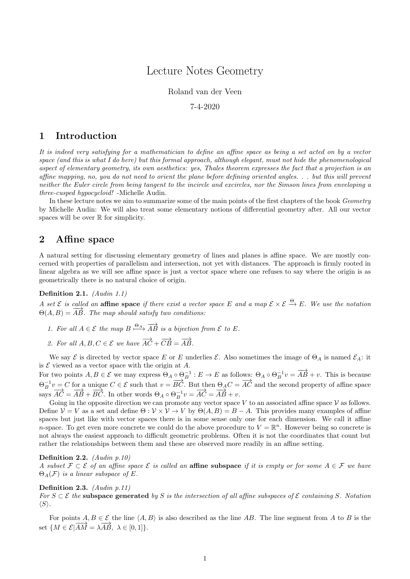# Lecture Notes Geometry

# Roland van der Veen

# 7-4-2020

# 1 Introduction

It is indeed very satisfying for a mathematician to define an affine space as being a set acted on by a vector space (and this is what I do here) but this formal approach, although elegant, must not hide the phenomenological aspect of elementary geometry, its own aesthetics: yes, Thales theorem expresses the fact that a projection is an affine mapping, no, you do not need to orient the plane before defining oriented angles. . . but this will prevent neither the Euler circle from being tangent to the incircle and excircles, nor the Simson lines from enveloping a three-cusped hypocycloid! -Michelle Audin.

In these lecture notes we aim to summarize some of the main points of the first chapters of the book Geometry by Michelle Audin: We will also treat some elementary notions of differential geometry after. All our vector spaces will be over  $\mathbb R$  for simplicity.

# 2 Affine space

A natural setting for discussing elementary geometry of lines and planes is affine space. We are mostly concerned with properties of parallelism and intersection, not yet with distances. The approach is firmly rooted in linear algebra as we will see affine space is just a vector space where one refuses to say where the origin is as geometrically there is no natural choice of origin.

### Definition 2.1. (Audin 1.1)

A set E is called an **affine space** if there exist a vector space E and a map  $\mathcal{E} \times \mathcal{E} \stackrel{\Theta}{\to} E$ . We use the notation  $\Theta(A, B) = \overrightarrow{AB}$ . The map should satisfy two conditions:

- 1. For all  $A \in \mathcal{E}$  the map  $B \stackrel{\Theta_A}{\longrightarrow} \overrightarrow{AB}$  is a bijection from  $\mathcal E$  to  $E$ .
- 2. For all  $A, B, C \in \mathcal{E}$  we have  $\overrightarrow{AC} + \overrightarrow{CB} = \overrightarrow{AB}$ .

We say  $\mathcal E$  is directed by vector space E or E underlies  $\mathcal E$ . Also sometimes the image of  $\Theta_A$  is named  $\mathcal E_A$ : it is  $\mathcal E$  viewed as a vector space with the origin at  $A$ .

For two points  $A, B \in \mathcal{E}$  we may express  $\Theta_A \circ \Theta_B^{-1} : E \to E$  as follows:  $\Theta_A \circ \Theta_B^{-1} v = \overrightarrow{AB} + v$ . This is because  $\Theta_B^{-1}v = C$  for a unique  $C \in \mathcal{E}$  such that  $v = \overrightarrow{BC}$ . But then  $\Theta_A C = \overrightarrow{AC}$  and the second property of affine space says  $\overrightarrow{AC} = \overrightarrow{AB} + \overrightarrow{BC}$ . In other words  $\Theta_A \circ \Theta_B^{-1} v = \overrightarrow{AC} = \overrightarrow{AB} + v$ .

Going in the opposite direction we can promote any vector space  $V$  to an associated affine space  $V$  as follows. Define  $V = V$  as a set and define  $\Theta : V \times V \to V$  by  $\Theta(A, B) = B - A$ . This provides many examples of affine spaces but just like with vector spaces there is in some sense only one for each dimension. We call it affine n-space. To get even more concrete we could do the above procedure to  $V = \mathbb{R}^n$ . However being so concrete is not always the easiest approach to difficult geometric problems. Often it is not the coordinates that count but rather the relationships between them and these are observed more readily in an affine setting.

### Definition 2.2. (Audin p.10)

A subset  $\mathcal{F} \subset \mathcal{E}$  of an affine space  $\mathcal{E}$  is called an **affine subspace** if it is empty or for some  $A \in \mathcal{F}$  we have  $\Theta_A(\mathcal{F})$  is a linear subspace of E.

# Definition 2.3. *(Audin p.11)*

For  $S \subset \mathcal{E}$  the subspace generated by S is the intersection of all affine subspaces of  $\mathcal{E}$  containing S. Notation  $\langle S \rangle$ .

For points  $A, B \in \mathcal{E}$  the line  $\langle A, B \rangle$  is also described as the line AB. The line segment from A to B is the set  $\{M \in \mathcal{E} | \overline{AM} = \lambda \overrightarrow{AB}, \lambda \in [0,1]\}.$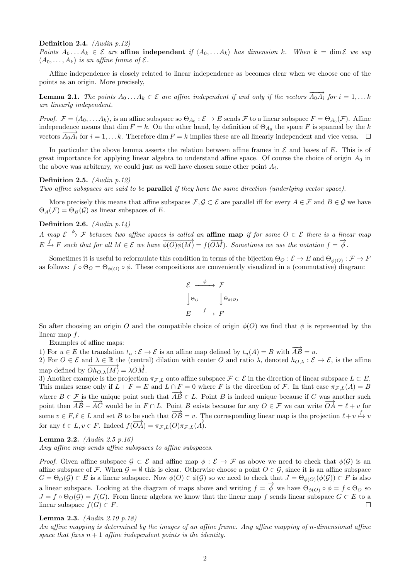Definition 2.4. (Audin p.12) Points  $A_0 \ldots A_k \in \mathcal{E}$  are affine independent if  $\langle A_0, \ldots, A_k \rangle$  has dimension k. When  $k = \dim \mathcal{E}$  we say  $(A_0, \ldots, A_k)$  is an affine frame of  $\mathcal{E}.$ 

Affine independence is closely related to linear independence as becomes clear when we choose one of the points as an origin. More precisely,

<span id="page-1-0"></span>**Lemma 2.1.** The points  $A_0 \ldots A_k \in \mathcal{E}$  are affine independent if and only if the vectors  $\overrightarrow{A_0A_i}$  for  $i = 1, \ldots k$ are linearly independent.

*Proof.*  $\mathcal{F} = \langle A_0, \ldots A_k \rangle$ , is an affine subspace so  $\Theta_{A_0} : \mathcal{E} \to E$  sends  $\mathcal{F}$  to a linear subspace  $F = \Theta_{A_0}(\mathcal{F})$ . Affine independence means that dim  $F = k$ . On the other hand, by definition of  $\Theta_{A_0}$  the space F is spanned by the k vectors  $\overrightarrow{A_0A_i}$  for  $i = 1, \ldots k$ . Therefore dim  $F = k$  implies these are all linearly independent and vice versa.

In particular the above lemma asserts the relation between affine frames in  $\mathcal E$  and bases of  $E$ . This is of great importance for applying linear algebra to understand affine space. Of course the choice of origin  $A_0$  in the above was arbitrary, we could just as well have chosen some other point  $A_i$ .

#### Definition 2.5. (Audin p.12)

Two affine subspaces are said to be parallel if they have the same direction (underlying vector space).

More precisely this means that affine subspaces  $\mathcal{F}, \mathcal{G} \subset \mathcal{E}$  are parallel iff for every  $A \in \mathcal{F}$  and  $B \in \mathcal{G}$  we have  $\Theta_A(\mathcal{F}) = \Theta_B(\mathcal{G})$  as linear subspaces of E.

# Definition 2.6.  $(Audin p.14)$

A map  $\mathcal{E} \stackrel{\phi}{\to} \mathcal{F}$  between two affine spaces is called an **affine map** if for some  $O \in \mathcal{E}$  there is a linear map  $E \xrightarrow{f} F$  such that for all  $M \in \mathcal{E}$  we have  $\phi(O)\phi(M) = f(\overrightarrow{OM})$ . Sometimes we use the notation  $f = \overrightarrow{\phi}$ .

Sometimes it is useful to reformulate this condition in terms of the bijection  $\Theta_O : \mathcal{E} \to E$  and  $\Theta_{\phi(O)} : \mathcal{F} \to F$ as follows:  $f \circ \Theta_O = \Theta_{\phi(O)} \circ \phi$ . These compositions are conveniently visualized in a (commutative) diagram:

$$
\mathcal{E} \xrightarrow{\phi} \mathcal{F}
$$

$$
\downarrow \Theta_O \qquad \downarrow \Theta_{\phi(O)}
$$

$$
E \xrightarrow{f} F
$$

So after choosing an origin O and the compatible choice of origin  $\phi$ (O) we find that  $\phi$  is represented by the linear map f.

Examples of affine maps:

1) For  $u \in E$  the translation  $t_u : \mathcal{E} \to \mathcal{E}$  is an affine map defined by  $t_u(A) = B$  with  $\overrightarrow{AB} = u$ .

2) For  $O \in \mathcal{E}$  and  $\lambda \in \mathbb{R}$  the (central) dilation with center O and ratio  $\lambda$ , denoted  $h_{O,\lambda} : \mathcal{E} \to \mathcal{E}$ , is the affine map defined by  $\overrightarrow{Oh_{O,\lambda}(M)} = \lambda \overrightarrow{OM}$ .

3) Another example is the projection  $\pi_{\mathcal{F},L}$  onto affine subspace  $\mathcal{F} \subset \mathcal{E}$  in the direction of linear subspace  $L \subset E$ . This makes sense only if  $L + F = E$  and  $L \cap F = 0$  where F is the direction of F. In that case  $\pi_{\mathcal{F},L}(A) = B$ where  $B \in \mathcal{F}$  is the unique point such that  $\overrightarrow{AB} \in L$ . Point B is indeed unique because if C was another such point then  $\overrightarrow{AB} - \overrightarrow{AC}$  would be in  $F \cap L$ . Point B exists because for any  $O \in \mathcal{F}$  we can write  $\overrightarrow{OA} = \ell + v$  for some  $v \in F, \ell \in L$  and set B to be such that  $\overrightarrow{OB} = v$ . The corresponding linear map is the projection  $\ell + v \stackrel{f}{\mapsto} v$ for any  $\ell \in L, v \in F$ . Indeed  $f(\overrightarrow{OA}) = \pi_{\mathcal{F},L}(O)\pi_{\mathcal{F},L}(A)$ .

Lemma 2.2. (Audin 2.5 p.16)

Any affine map sends affine subspaces to affine subspaces.

*Proof.* Given affine subspace  $\mathcal{G} \subset \mathcal{E}$  and affine map  $\phi : \mathcal{E} \to \mathcal{F}$  as above we need to check that  $\phi(\mathcal{G})$  is an affine subspace of F. When  $\mathcal{G} = \emptyset$  this is clear. Otherwise choose a point  $O \in \mathcal{G}$ , since it is an affine subspace  $G = \Theta_O(\mathcal{G}) \subset E$  is a linear subspace. Now  $\phi(O) \in \phi(\mathcal{G})$  so we need to check that  $J = \Theta_{\phi(O)}(\phi(\mathcal{G})) \subset F$  is also a linear subspace. Looking at the diagram of maps above and writing  $f = \phi$  we have  $\Theta_{\phi(O)} \circ \phi = f \circ \Theta_O$  so  $J = f \circ \Theta_O(\mathcal{G}) = f(G)$ . From linear algebra we know that the linear map f sends linear subspace  $G \subset E$  to a linear subspace  $f(G) \subset F$ .  $\Box$ 

#### Lemma 2.3. (Audin 2.10 p.18)

An affine mapping is determined by the images of an affine frame. Any affine mapping of n-dimensional affine space that fixes  $n + 1$  affine independent points is the identity.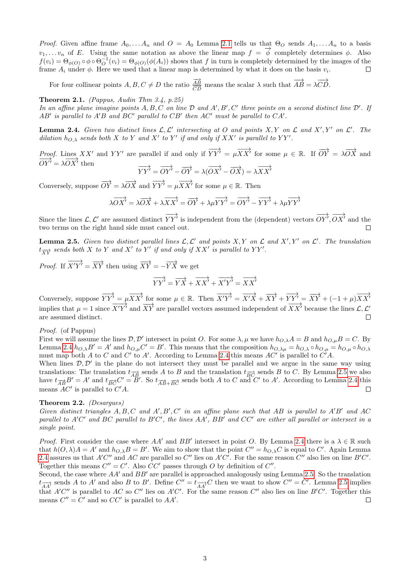*Proof.* Given affine frame  $A_0, \ldots, A_n$  and  $O = A_0$  Lemma [2.1](#page-1-0) tells us that  $\Theta_O$  sends  $A_1, \ldots, A_n$  to a basis  $v_1, \ldots v_n$  of E. Using the same notation as above the linear map  $f = \phi$  completely determines  $\phi$ . Also  $f(v_i) = \Theta_{\phi(O)} \circ \phi \circ \Theta_{O}^{-1}(v_i) = \Theta_{\phi(O)}(\phi(A_i))$  shows that f in turn is completely determined by the images of the frame  $A_i$  under  $\phi$ . Here we used that a linear map is determined by what it does on the basis  $v_i$ .

For four collinear points  $A, B, C \neq D$  the ratio  $\frac{\overrightarrow{AB}}{\overrightarrow{AB}}$  $\frac{\overrightarrow{AB}}{\overrightarrow{CD}}$  means the scalar  $\lambda$  such that  $\overrightarrow{AB} = \lambda \overrightarrow{CD}$ .

#### **Theorem 2.1.** (Pappus, Audin Thm 3.4, p.25)

In an affine plane imagine points  $A, B, C$  on line  $D$  and  $A', B', C'$  three points on a second distinct line  $D'$ . If  $AB'$  is parallel to  $A'B$  and  $BC'$  parallel to  $CB'$  then  $AC'$  must be parallel to  $CA'$ .

<span id="page-2-0"></span>**Lemma 2.4.** Given two distinct lines  $\mathcal{L}, \mathcal{L}'$  intersecting at O and points X, Y on  $\mathcal{L}$  and X', Y' on  $\mathcal{L}'$ . The dilation  $h_{O,\lambda}$  sends both X to Y and X' to Y' if and only if XX' is parallel to YY'.

*Proof.* Lines XX' and YY' are parallel if and only if  $\overrightarrow{YY'} = \mu \overrightarrow{XX'}$  for some  $\mu \in \mathbb{R}$ . If  $\overrightarrow{OY} = \lambda \overrightarrow{OX}$  and  $\overrightarrow{OY'} = \lambda \overrightarrow{OX'}$  then −−→ −−→ −−→

$$
\overrightarrow{YY'} = \overrightarrow{OY'} - \overrightarrow{OY} = \lambda(\overrightarrow{OX'} - \overrightarrow{OX}) = \lambda \overrightarrow{XX'}
$$

Conversely, suppose  $\overrightarrow{OY} = \lambda \overrightarrow{OX}$  and  $\overrightarrow{YY'} = \mu \overrightarrow{XX'}$  for some  $\mu \in \mathbb{R}$ . Then

$$
\overrightarrow{\lambda OX'} = \overrightarrow{\lambda OX} + \overrightarrow{\lambda XX'} = \overrightarrow{OY} + \lambda \overrightarrow{\mu YY'} = \overrightarrow{OY'} - \overrightarrow{YY'} + \lambda \overrightarrow{\mu YY'}
$$

Since the lines  $\mathcal{L}, \mathcal{L}'$  are assumed distinct  $\overrightarrow{YY'}$  is independent from the (dependent) vectors  $\overrightarrow{OY'}, \overrightarrow{OX'}$  and the two terms on the right hand side must cancel out.

<span id="page-2-1"></span>**Lemma 2.5.** Given two distinct parallel lines  $\mathcal{L}, \mathcal{L}'$  and points  $X, Y$  on  $\mathcal{L}$  and  $X', Y'$  on  $\mathcal{L}'$ . The translation  $t_{\overrightarrow{XY}}$  sends both X to Y and X' to Y' if and only if XX' is parallel to YY'.

*Proof.* If  $\overrightarrow{X'Y'} = \overrightarrow{XY}$  then using  $\overrightarrow{XY} = -\overrightarrow{YX}$  we get  $\overrightarrow{YY'} = \overrightarrow{YX} + \overrightarrow{XX'} + \overrightarrow{X'Y'} = \overrightarrow{XX'}$ 

Conversely, suppose  $\overrightarrow{YY'} = \mu \overrightarrow{XX'}$  for some  $\mu \in \mathbb{R}$ . Then  $\overrightarrow{X'Y'} = \overrightarrow{X'X} + \overrightarrow{XY} + \overrightarrow{YY'} = \overrightarrow{XY} + (-1 + \mu) \overrightarrow{XX'}$ implies that  $\mu = 1$  since  $\overline{X'Y'}$  and  $\overline{XY}$  are parallel vectors assumed independent of  $\overline{XX'}$  because the lines  $\mathcal{L}, \mathcal{L}'$ are assumed distinct. П

#### Proof. (of Pappus)

First we will assume the lines  $D, D'$  intersect in point O. For some  $\lambda, \mu$  we have  $h_{O,\lambda}A = B$  and  $h_{O,\mu}B = C$ . By Lemma [2.4](#page-2-0)  $h_{O,\lambda}B' = A'$  and  $h_{O,\mu}C' = B'$ . This means that the composition  $h_{O,\lambda\mu} = h_{O,\lambda} \circ h_{O,\mu} = h_{O,\mu} \circ h_{O,\lambda}$ must map both A to C and C' to A'. According to Lemma [2.4](#page-2-0) this means  $AC'$  is parallel to  $C'A$ .

When lines  $\mathcal{D}, \mathcal{D}'$  in the plane do not intersect they must be parallel and we argue in the same way using translations: The translation  $t_{\overrightarrow{AB}}$  sends A to B and the translation  $t_{\overrightarrow{BC}}$  sends B to C. By Lemma [2.5](#page-2-1) we also have  $t_{\overrightarrow{AB}}B' = A'$  and  $t_{\overrightarrow{BC}}C' = B'$ . So  $t_{\overrightarrow{AB}+\overrightarrow{BC}}$  sends both A to C and C' to A'. According to Lemma [2.4](#page-2-0) this means  $AC'$  is parallel to  $C'A$ .  $\Box$ 

#### Theorem 2.2. (Desargues)

Given distinct triangles  $A, B, C$  and  $A', B', C'$  in an affine plane such that AB is parallel to  $A'B'$  and AC parallel to  $A'C'$  and BC parallel to  $B'C'$ , the lines  $AA'$ ,  $BB'$  and  $CC'$  are either all parallel or intersect in a single point.

*Proof.* First consider the case where  $AA'$  and  $BB'$  intersect in point O. By Lemma [2.4](#page-2-0) there is a  $\lambda \in \mathbb{R}$  such that  $h(O, \lambda)A = A'$  and  $h_{O,\lambda}B = B'$ . We aim to show that the point  $C'' = h_{O,\lambda}C$  is equal to C'. Again Lemma [2.4](#page-2-0) assures us that  $A'C''$  and  $AC$  are parallel so  $C''$  lies on  $A'C'$ . For the same reason  $C''$  also lies on line  $B'C'$ . Together this means  $C'' = C'$ . Also  $CC'$  passes through O by definition of  $C''$ .

Second, the case where  $AA'$  and  $BB'$  are parallel is approached analogously using Lemma [2.5.](#page-2-1) So the translation  $t_{AA'}$  sends A to A' and also B to B'. Define  $C'' = t_{AA'}C$  then we want to show  $C'' = C'$ . Lemma [2.5](#page-2-1) implies that A'C" is parallel to AC so C" lies on A'C'. For the same reason C" also lies on line B'C'. Together this means  $C'' = C'$  and so  $CC'$  is parallel to  $AA'$ .  $\Box$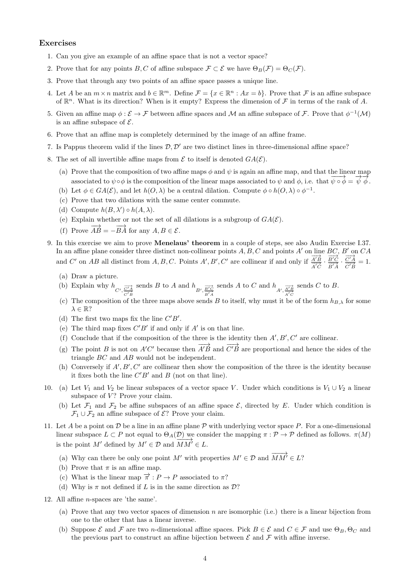# Exercises

- 1. Can you give an example of an affine space that is not a vector space?
- 2. Prove that for any points B, C of affine subspace  $\mathcal{F} \subset \mathcal{E}$  we have  $\Theta_B(\mathcal{F}) = \Theta_C(\mathcal{F})$ .
- 3. Prove that through any two points of an affine space passes a unique line.
- 4. Let A be an  $m \times n$  matrix and  $b \in \mathbb{R}^m$ . Define  $\mathcal{F} = \{x \in \mathbb{R}^n : Ax = b\}$ . Prove that F is an affine subspace of  $\mathbb{R}^n$ . What is its direction? When is it empty? Express the dimension of  $\mathcal F$  in terms of the rank of A.
- 5. Given an affine map  $\phi : \mathcal{E} \to \mathcal{F}$  between affine spaces and M an affine subspace of F. Prove that  $\phi^{-1}(\mathcal{M})$ is an affine subspace of  $\mathcal{E}$ .
- 6. Prove that an affine map is completely determined by the image of an affine frame.
- 7. Is Pappus theorem valid if the lines  $\mathcal{D}, \mathcal{D}'$  are two distinct lines in three-dimensional affine space?
- 8. The set of all invertible affine maps from  $\mathcal E$  to itself is denoted  $GA(\mathcal E)$ .
	- (a) Prove that the composition of two affine maps  $\phi$  and  $\psi$  is again an affine map, and that the linear map associated to  $\psi \circ \phi$  is the composition of the linear maps associated to  $\psi$  and  $\phi$ , i.e. that  $\overline{\psi \circ \phi} = \overline{\psi \phi}$ .
	- (b) Let  $\phi \in GA(\mathcal{E})$ , and let  $h(O, \lambda)$  be a central dilation. Compute  $\phi \circ h(O, \lambda) \circ \phi^{-1}$ .
	- (c) Prove that two dilations with the same center commute.
	- (d) Compute  $h(B, \lambda') \circ h(A, \lambda)$ .
	- (e) Explain whether or not the set of all dilations is a subgroup of  $GA(\mathcal{E})$ .
	- (f) Prove  $\overrightarrow{AB} = -\overrightarrow{BA}$  for any  $A, B \in \mathcal{E}$ .
- 9. In this exercise we aim to prove Menelaus' theorem in a couple of steps, see also Audin Exercise I.37. In an affine plane consider three distinct non-collinear points  $A, B, C$  and points  $A'$  on line  $BC, B'$  on  $CA$ and C' on AB all distinct from A, B, C. Points A', B', C' are collinear if and only if  $\frac{\overrightarrow{A'B}}{\overrightarrow{A'C}} \cdot \frac{\overrightarrow{B'C}}{\overrightarrow{B'A}}$  $\frac{\overrightarrow{B'C}}{\overrightarrow{B'A}} \cdot \frac{\overrightarrow{C'A}}{\overrightarrow{C'B}} = 1.$ 
	- (a) Draw a picture.
	- (b) Explain why  $h_{C',\frac{\overrightarrow{C'A}}{\overrightarrow{C'B}}}$  sends B to A and  $h_{B',\frac{\overrightarrow{BC}}{\overrightarrow{B'A}}}$  sends A to C and  $h_{A',\frac{\overrightarrow{A'B}}{\overrightarrow{A'C}}}$  sends C to B.
	- (c) The composition of the three maps above sends B to itself, why must it be of the form  $h_{B,\lambda}$  for some  $\lambda \in \mathbb{R}$ ?
	- (d) The first two maps fix the line  $C'B'$ .
	- (e) The third map fixes  $C'B'$  if and only if  $A'$  is on that line.
	- (f) Conclude that if the composition of the three is the identity then  $A', B', C'$  are collinear.
	- (g) The point B is not on A'C' because then  $\overrightarrow{A'B}$  and  $\overrightarrow{C'B}$  are proportional and hence the sides of the triangle BC and AB would not be independent.
	- (h) Conversely if  $A', B', C'$  are collinear then show the composition of the three is the identity because it fixes both the line  $C'B'$  and B (not on that line).
- 10. (a) Let  $V_1$  and  $V_2$  be linear subspaces of a vector space V. Under which conditions is  $V_1 \cup V_2$  a linear subspace of  $V$ ? Prove your claim.
	- (b) Let  $\mathcal{F}_1$  and  $\mathcal{F}_2$  be affine subspaces of an affine space  $\mathcal{E}$ , directed by E. Under which condition is  $\mathcal{F}_1 \cup \mathcal{F}_2$  an affine subspace of  $\mathcal{E}$ ? Prove your claim.
- 11. Let A be a point on D be a line in an affine plane  $P$  with underlying vector space P. For a one-dimensional linear subspace  $L \subset P$  not equal to  $\Theta_A(\mathcal{D})$  we consider the mapping  $\pi : \mathcal{P} \to \mathcal{P}$  defined as follows.  $\pi(M)$ is the point M' defined by  $M' \in \mathcal{D}$  and  $\overline{MM'} \in L$ .
	- (a) Why can there be only one point M' with properties  $M' \in \mathcal{D}$  and  $\overrightarrow{MM'} \in L$ ?
	- (b) Prove that  $\pi$  is an affine map.
	- (c) What is the linear map  $\overrightarrow{\pi}: P \to P$  associated to  $\pi$ ?
	- (d) Why is  $\pi$  not defined if L is in the same direction as  $\mathcal{D}$ ?
- 12. All affine n-spaces are 'the same'.
	- (a) Prove that any two vector spaces of dimension n are isomorphic (i.e.) there is a linear bijection from one to the other that has a linear inverse.
	- (b) Suppose  $\mathcal E$  and  $\mathcal F$  are two *n*-dimensional affine spaces. Pick  $B \in \mathcal E$  and  $C \in \mathcal F$  and use  $\Theta_B$ ,  $\Theta_C$  and the previous part to construct an affine bijection between  $\mathcal E$  and  $\mathcal F$  with affine inverse.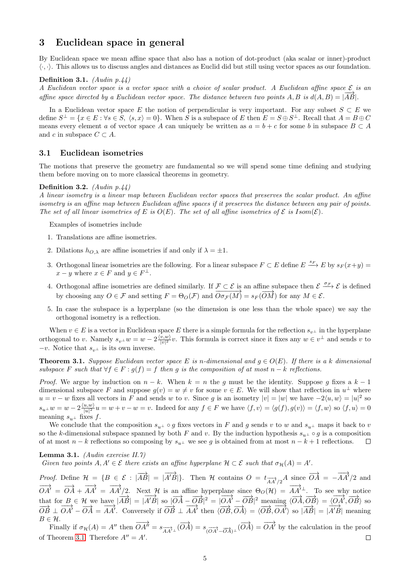# 3 Euclidean space in general

By Euclidean space we mean affine space that also has a notion of dot-product (aka scalar or inner)-product  $\langle \cdot, \cdot \rangle$ . This allows us to discuss angles and distances as Euclid did but still using vector spaces as our foundation.

#### Definition 3.1. (Audin p.44)

A Euclidean vector space is a vector space with a choice of scalar product. A Euclidean affine space  $\mathcal E$  is an affine space directed by a Euclidean vector space. The distance between two points  $A, B$  is  $d(A, B) = |\overrightarrow{AB}|$ .

In a Euclidean vector space E the notion of perpendicular is very important. For any subset  $S \subset E$  we define  $S^{\perp} = \{x \in E : \forall s \in S, \ \langle s, x \rangle = 0\}.$  When S is a subspace of E then  $E = S \oplus S^{\perp}$ . Recall that  $A = B \oplus C$ means every element a of vector space A can uniquely be written as  $a = b + c$  for some b in subspace  $B \subset A$ and c in subspace  $C \subset A$ .

# 3.1 Euclidean isometries

The motions that preserve the geometry are fundamental so we will spend some time defining and studying them before moving on to more classical theorems in geometry.

### Definition 3.2.  $(Audin p.44)$

A linear isometry is a linear map between Euclidean vector spaces that preserves the scalar product. An affine isometry is an affine map between Euclidean affine spaces if it preserves the distance between any pair of points. The set of all linear isometries of E is  $O(E)$ . The set of all affine isometries of E is Isom(E).

Examples of isometries include

- 1. Translations are affine isometries.
- 2. Dilations  $h_{O,\lambda}$  are affine isometries if and only if  $\lambda = \pm 1$ .
- 3. Orthogonal linear isometries are the following. For a linear subspace  $F \subset E$  define  $E \xrightarrow{s_F} E$  by  $s_F(x+y) =$  $x - y$  where  $x \in F$  and  $y \in F^{\perp}$ .
- 4. Orthogonal affine isometries are defined similarly. If  $\mathcal{F} \subset \mathcal{E}$  is an affine subspace then  $\mathcal{E} \xrightarrow{\sigma_{\mathcal{F}}} \mathcal{E}$  is defined by choosing any  $O \in \mathcal{F}$  and setting  $F = \Theta_O(\mathcal{F})$  and  $\overline{O \sigma_{\mathcal{F}}(M)} = s_F(\overline{OM})$  for any  $M \in \mathcal{E}$ .
- 5. In case the subspace is a hyperplane (so the dimension is one less than the whole space) we say the orthogonal isometry is a reflection.

When  $v \in E$  is a vector in Euclidean space E there is a simple formula for the reflection  $s_{v^{\perp}}$  in the hyperplane orthogonal to v. Namely  $s_{v^{\perp}}w = w - 2\frac{\langle v, w \rangle}{|v|^2}$  $\frac{v, w}{|v|^2}v$ . This formula is correct since it fixes any  $w \in v^{\perp}$  and sends v to  $-v$ . Notice that  $s_{v^{\perp}}$  is its own inverse.

<span id="page-4-0"></span>**Theorem 3.1.** Suppose Euclidean vector space E is n-dimensional and  $g \in O(E)$ . If there is a k dimensional subspace F such that  $\forall f \in F : g(f) = f$  then g is the composition of at most  $n - k$  reflections.

*Proof.* We argue by induction on  $n - k$ . When  $k = n$  the g must be the identity. Suppose g fixes a  $k - 1$ dimensional subspace F and suppose  $g(v) = w \neq v$  for some  $v \in E$ . We will show that reflection in  $u^{\perp}$  where  $u = v - w$  fixes all vectors in F and sends w to v. Since g is an isometry  $|v| = |w|$  we have  $-2\langle u, w \rangle = |u|^2$  so  $s_{u^{\perp}}w=w-2\frac{\langle u,w\rangle}{|u|^2}$  $\frac{u, w}{|u|^2}u = w + v - w = v.$  Indeed for any  $f \in F$  we have  $\langle f, v \rangle = \langle g(f), g(v) \rangle = \langle f, w \rangle$  so  $\langle f, u \rangle = 0$ meaning  $s_{u^{\perp}}$  fixes f.

We conclude that the composition  $s_{u^{\perp}} \circ g$  fixes vectors in F and g sends v to w and  $s_{u^{\perp}}$  maps it back to v so the k-dimensional subspace spanned by both F and v. By the induction hypothesis  $s_u \circ g$  is a composition of at most  $n - k$  reflections so composing by  $s_{n+1}$  we see g is obtained from at most  $n - k + 1$  reflections.  $\Box$ 

#### <span id="page-4-1"></span>**Lemma 3.1.** *(Audin exercise II.7)*

Given two points  $A, A' \in \mathcal{E}$  there exists an affine hyperplane  $\mathcal{H} \subset \mathcal{E}$  such that  $\sigma_{\mathcal{H}}(A) = A'$ .

Proof. Define  $\mathcal{H} = \{B \in \mathcal{E} : |\overrightarrow{AB}| = |\overrightarrow{A'B}|\}$ . Then  $\mathcal{H}$  contains  $O = t_{\overrightarrow{AA'/2}}A$  since  $\overrightarrow{OA} = -\overrightarrow{AA'/2}$  and  $\overrightarrow{OA'} = \overrightarrow{OA} + \overrightarrow{AA'} = \overrightarrow{AA'}/2$ . Next H is an affine hyperplane since  $\Theta_O(\mathcal{H}) = \overrightarrow{AA'}^{\perp}$ . To see why notice that for  $B \in \mathcal{H}$  we have  $|\overrightarrow{AB}| = |\overrightarrow{A'B}|$  so  $|\overrightarrow{OA} - \overrightarrow{OB}|^2 = |\overrightarrow{OA'} - \overrightarrow{OB}|^2$  meaning  $\langle \overrightarrow{OA}, \overrightarrow{OB} \rangle = \langle \overrightarrow{OA'}, \overrightarrow{OB} \rangle$  so  $\overrightarrow{OB} \perp \overrightarrow{OA'} - \overrightarrow{OA} = \overrightarrow{AA'}$ . Conversely if  $\overrightarrow{OB} \perp \overrightarrow{AA'}$  then  $\langle \overrightarrow{OB}, \overrightarrow{OA} \rangle = \langle \overrightarrow{OB}, \overrightarrow{OA'} \rangle$  so  $|\overrightarrow{AB}| = |\overrightarrow{A'B}|$  meaning  $B \in \mathcal{H}$ .

Finally if  $\sigma_{\mathcal{H}}(A) = A''$  then  $\overrightarrow{OA''} = s_{\overrightarrow{AA'}^{\perp}}(\overrightarrow{OA}) = s_{(\overrightarrow{OA'} - \overrightarrow{OA})^{\perp}}(\overrightarrow{OA}) = \overrightarrow{OA'}$  by the calculation in the proof of Theorem [3.1.](#page-4-0) Therefore  $A'' = A'$ .  $\Box$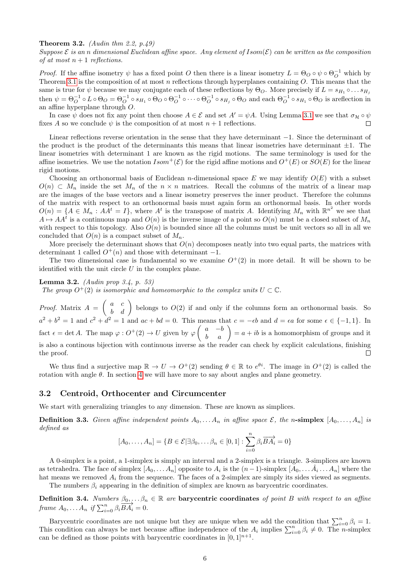#### Theorem 3.2. (Audin thm 2.2,  $p.49$ )

Suppose  $\mathcal E$  is an n dimensional Euclidean affine space. Any element of Isom( $\mathcal E$ ) can be written as the composition of at most  $n+1$  reflections.

*Proof.* If the affine isometry  $\psi$  has a fixed point O then there is a linear isometry  $L = \Theta_O \circ \psi \circ \Theta_O^{-1}$  which by Theorem [3.1](#page-4-0) is the composition of at most n reflections through hyperplanes containing  $O$ . This means that the same is true for  $\psi$  because we may conjugate each of these reflections by  $\Theta_O$ . More precisely if  $L = s_{H_1} \circ \dots s_{H_j}$ then  $\psi = \Theta_O^{-1} \circ L \circ \Theta_O = \Theta_O^{-1} \circ s_{H_1} \circ \Theta_O \circ \Theta_O^{-1} \circ \cdots \circ \Theta_O^{-1} \circ s_{H_j} \circ \Theta_O$  and each  $\Theta_O^{-1} \circ s_{H_1} \circ \Theta_O$  is a<br>reflection in an affine hyperplane through O.

In case  $\psi$  does not fix any point then choose  $A \in \mathcal{E}$  and set  $A' = \psi A$ . Using Lemma [3.1](#page-4-1) we see that  $\sigma_{\mathcal{H}} \circ \psi$ fixes A so we conclude  $\psi$  is the composition of at most  $n+1$  reflections.  $\Box$ 

Linear reflections reverse orientation in the sense that they have determinant −1. Since the determinant of the product is the product of the determinants this means that linear isometries have determinant  $\pm 1$ . The linear isometries with determinant 1 are known as the rigid motions. The same terminology is used for the affine isometries. We use the notation  $Isom^+(\mathcal{E})$  for the rigid affine motions and  $O^+(E)$  or  $SO(E)$  for the linear rigid motions.

Choosing an orthonormal basis of Euclidean *n*-dimensional space E we may identify  $O(E)$  with a subset  $O(n) \subset M_n$  inside the set  $M_n$  of the  $n \times n$  matrices. Recall the columns of the matrix of a linear map are the images of the base vectors and a linear isometry preserves the inner product. Therefore the columns of the matrix with respect to an orthonormal basis must again form an orthonormal basis. In other words  $O(n) = \{A \in M_n : AA^t = I\}$ , where  $A^t$  is the transpose of matrix A. Identifying  $M_n$  with  $\mathbb{R}^{n^2}$  we see that  $A \mapsto AA^t$  is a continuous map and  $O(n)$  is the inverse image of a point so  $O(n)$  must be a closed subset of  $M_n$ with respect to this topology. Also  $O(n)$  is bounded since all the columns must be unit vectors so all in all we concluded that  $O(n)$  is a compact subset of  $M_n$ .

More precisely the determinant shows that  $O(n)$  decomposes neatly into two equal parts, the matrices with determinant 1 called  $O^+(n)$  and those with determinant  $-1$ .

The two dimensional case is fundamental so we examine  $O^+(2)$  in more detail. It will be shown to be identified with the unit circle  $U$  in the complex plane.

# <span id="page-5-0"></span>Lemma 3.2. (Audin prop 3.4, p. 53)

The group  $O^+(2)$  is isomorphic and homeomorphic to the complex units  $U \subset \mathbb{C}$ .

*Proof.* Matrix  $A = \begin{pmatrix} a & c \\ b & d \end{pmatrix}$  belongs to  $O(2)$  if and only if the columns form an orthonormal basis. So  $a^2 + b^2 = 1$  and  $c^2 + d^2 = 1$  and  $ac + bd = 0$ . This means that  $c = -eb$  and  $d = ea$  for some  $\epsilon \in \{-1, 1\}$ . In fact  $\epsilon = \det A$ . The map  $\varphi: O^+(2) \to U$  given by  $\varphi \begin{pmatrix} a & -b \\ b & a \end{pmatrix} = a + ib$  is a homomorphism of groups and it is also a continous bijection with continuous inverse as the reader can check by explicit calculations, finishing the proof.

We thus find a surjective map  $\mathbb{R} \to U \to O^+(2)$  sending  $\theta \in \mathbb{R}$  to  $e^{\theta i}$ . The image in  $O^+(2)$  is called the rotation with angle θ. In section [4](#page-7-0) we will have more to say about angles and plane geometry.

#### 3.2 Centroid, Orthocenter and Circumcenter

We start with generalizing triangles to any dimension. These are known as simplices.

**Definition 3.3.** Given affine independent points  $A_0, \ldots, A_n$  in affine space  $\mathcal{E}$ , the n-simplex  $[A_0, \ldots, A_n]$  is defined as

$$
[A_0,\ldots,A_n] = \{ B \in \mathcal{E} | \exists \beta_0,\ldots,\beta_n \in [0,1] : \sum_{i=0}^n \beta_i \overrightarrow{BA_i} = 0 \}
$$

A 0-simplex is a point, a 1-simplex is simply an interval and a 2-simplex is a triangle. 3-simplices are known as tetrahedra. The face of simplex  $[A_0, \ldots, A_n]$  opposite to  $A_i$  is the  $(n-1)$ -simplex  $[A_0, \ldots, \hat{A}_i \ldots, A_n]$  where the hat means we removed  $A_i$  from the sequence. The faces of a 2-simplex are simply its sides viewed as segments.

The numbers  $\beta_i$  appearing in the definition of simplex are known as barycentric coordinates.

**Definition 3.4.** Numbers  $\beta_0, \ldots, \beta_n \in \mathbb{R}$  are **barycentric coordinates** of point B with respect to an affine  $\text{frame } A_0, \ldots A_n \text{ if } \sum_{i=0}^n \beta_i \overrightarrow{BA_i} = 0.$ 

Barycentric coordinates are not unique but they are unique when we add the condition that  $\sum_{i=0}^{n} \beta_i = 1$ . This condition can always be met because affine independence of the  $A_i$  implies  $\sum_{i=0}^n \beta_i \neq 0$ . The n-simplex can be defined as those points with barycentric coordinates in  $[0, 1]^{n+1}$ .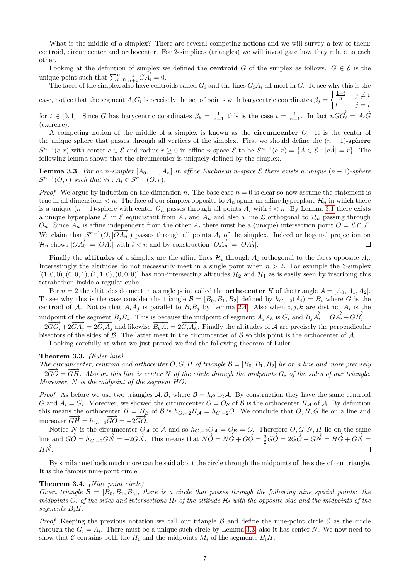What is the middle of a simplex? There are several competing notions and we will survey a few of them: centroid, circumcenter and orthocenter. For 2-simplices (triangles) we will investigate how they relate to each other.

Looking at the definition of simplex we defined the **centroid** G of the simplex as follows.  $G \in \mathcal{E}$  is the unique point such that  $\sum_{i=0}^{n} \frac{1}{n+1} \overline{G} \overline{A}_i = 0$ .

The faces of the simplex also have centroids called  $G_i$  and the lines  $G_iA_i$  all meet in G. To see why this is the case, notice that the segment  $A_iG_i$  is precisely the set of points with barycentric coordinates  $\beta_j =$  $\int \frac{1-t}{n}$   $j \neq i$ t  $j = i$ 

for  $t \in [0,1]$ . Since G has barycentric coordinates  $\beta_k = \frac{1}{n+1}$  this is the case  $t = \frac{1}{n+1}$ . In fact  $n\overrightarrow{GG_i} = \overrightarrow{A_iG}$ (exercise).

A competing notion of the middle of a simplex is known as the circumcenter O. It is the center of the unique sphere that passes through all vertices of the simplex. First we should define the  $(n - 1)$ -sphere  $S^{n-1}(c, r)$  with center  $c \in \mathcal{E}$  and radius  $r \geq 0$  in affine n-space  $\mathcal{E}$  to be  $S^{n-1}(c, r) = \{A \in \mathcal{E} : |cA| = r\}$ . The following lemma shows that the circumcenter is uniquely defined by the simplex.

<span id="page-6-0"></span>**Lemma 3.3.** For an n-simplex  $[A_0, \ldots, A_n]$  in affine Euclidean n-space  $\mathcal E$  there exists a unique  $(n-1)$ -sphere  $S^{n-1}(O, r)$  such that  $\forall i : A_i \in S^{n-1}(O, r)$ .

*Proof.* We argue by induction on the dimension n. The base case  $n = 0$  is clear so now assume the statement is true in all dimensions  $\lt n$ . The face of our simplex opposite to  $A_n$  spans an affine hyperplane  $\mathcal{H}_n$  in which there is a unique  $(n-1)$ -sphere with center  $O_n$  passes through all points  $A_i$  with  $i < n$ . By Lemma [3.1](#page-4-1) there exists a unique hyperplane F in E equidistant from  $A_0$  and  $A_n$  and also a line L orthogonal to  $\mathcal{H}_n$  passing through  $O_n$ . Since  $A_n$  is affine independent from the other  $A_i$  there must be a (unique) intersection point  $O = \mathcal{L} \cap \mathcal{F}$ . We claim that  $S^{n-1}(O, |\overrightarrow{OA_n}|)$  passes through all points  $A_i$  of the simplex. Indeed orthogonal projection on  $H_n$  shows  $|\overrightarrow{OA_0}| = |\overrightarrow{OA_i}|$  with  $i < n$  and by construction  $|\overrightarrow{OA_n}| = |\overrightarrow{OA_0}|$ .  $\Box$ 

Finally the **altitudes** of a simplex are the affine lines  $\mathcal{H}_i$  through  $A_i$  orthogonal to the faces opposite  $A_i$ . Interestingly the altitudes do not necessarily meet in a single point when  $n > 2$ . For example the 3-simplex  $[(1,0,0), (0,0,1), (1,1,0), (0,0,0)]$  has non-intersecting altitudes  $\mathcal{H}_2$  and  $\mathcal{H}_1$  as is easily seen by inscribing this tetrahedron inside a regular cube.

For  $n = 2$  the altitudes do meet in a single point called the **orthocenter** H of the triangle  $\mathcal{A} = [A_0, A_1, A_2]$ . To see why this is the case consider the triangle  $\mathcal{B} = [B_0, B_1, B_2]$  defined by  $h_{G-2}(A_i) = B_i$  where G is the centroid of A. Notice that  $A_iA_j$  is parallel to  $B_iB_j$  by Lemma [2.4.](#page-2-0) Also when  $i, j, k$  are distinct  $A_i$  is the midpoint of the segment  $B_jB_k$ . This is because the midpoint of segment  $A_jA_k$  is  $G_i$  and  $\overrightarrow{B_jA_i} = \overrightarrow{GA_i} - \overrightarrow{GB_j} =$  $-2\overrightarrow{GG_i}+2\overrightarrow{GA_j}=2\overrightarrow{G_iA_j}$  and likewise  $\overrightarrow{B_kA_i}=2\overrightarrow{G_iA_k}$ . Finally the altitudes of A are precisely the perpendicular bisectors of the sides of  $\beta$ . The latter meet in the circumcenter of  $\beta$  so this point is the orthocenter of  $\mathcal{A}$ .

Looking carefully at what we just proved we find the following theorem of Euler:

#### Theorem 3.3. (Euler line)

The circumcenter, centroid and orthocenter O, G, H of triangle  $\mathcal{B} = [B_0, B_1, B_2]$  lie on a line and more precisely  $-2\overrightarrow{GO} = \overrightarrow{GH}$ . Also on this line is center N of the circle through the midpoints  $G_i$  of the sides of our triangle. Moreover, N is the midpoint of the segment HO.

*Proof.* As before we use two triangles  $\mathcal{A}, \mathcal{B}$ , where  $\mathcal{B} = h_{G,-2}\mathcal{A}$ . By construction they have the same centroid G and  $A_i = G_i$ . Moreover, we showed the circumcenter  $O = O_B$  of B is the orthocenter  $H_A$  of A. By definition this means the orthocenter  $H = H_{\mathcal{B}}$  of  $\mathcal{B}$  is  $h_{G,-2}H_{\mathcal{A}} = h_{G,-2}O$ . We conclude that  $O, H, G$  lie on a line and moreover  $\overrightarrow{GH} = h_{G,-2} \overrightarrow{GO} = -2\overrightarrow{GO}.$ 

Notice N is the circumcenter  $O_A$  of A and so  $h_{G,-2}O_A = O_B = O$ . Therefore  $O, G, N, H$  lie on the same line and  $\overrightarrow{GO} = h_{G,-2}\overrightarrow{GN} = -2\overrightarrow{GN}$ . This means that  $\overrightarrow{NO} = \overrightarrow{NG} + \overrightarrow{GO} = \frac{3}{2}\overrightarrow{GO} = 2\overrightarrow{GO} + \overrightarrow{GN} = \overrightarrow{HG} + \overrightarrow{GN} =$  $\overrightarrow{HN}$ .  $\Box$ 

By similar methods much more can be said about the circle through the midpoints of the sides of our triangle. It is the famous nine-point circle.

#### Theorem 3.4. (Nine point circle)

Given triangle  $\mathcal{B} = [B_0, B_1, B_2]$ , there is a circle that passes through the following nine special points: the midpoints  $G_i$  of the sides and intersections  $H_i$  of the altitude  $H_i$  with the opposite side and the midpoints of the segments  $B_iH$ .

*Proof.* Keeping the previous notation we call our triangle  $\beta$  and define the nine-point circle  $\beta$  as the circle through the  $G_i = A_i$ . There must be a unique such circle by Lemma [3.3,](#page-6-0) also it has center N. We now need to show that C contains both the  $H_i$  and the midpoints  $M_i$  of the segments  $B_iH$ .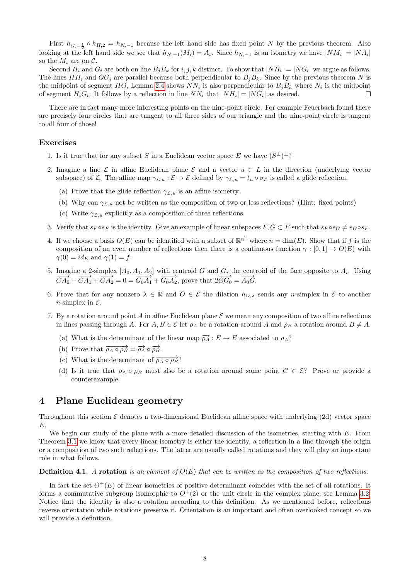First  $h_{G, -\frac{1}{2}} \circ h_{H,2} = h_{N,-1}$  because the left hand side has fixed point N by the previous theorem. Also looking at the left hand side we see that  $h_{N,-1}(M_i) = A_i$ . Since  $h_{N,-1}$  is an isometry we have  $|NM_i| = |NA_i|$ so the  $M_i$  are on  $\mathcal{C}$ .

Second  $H_i$  and  $G_i$  are both on line  $B_j B_k$  for  $i, j, k$  distinct. To show that  $|NH_i| = |NG_i|$  we argue as follows. The lines  $HH_i$  and  $OG_i$  are parallel because both perpendicular to  $B_jB_k$ . Since by the previous theorem N is the midpoint of segment HO, Lemma [2.4](#page-2-0) shows  $NN_i$  is also perpendicular to  $B_jB_k$  where  $N_i$  is the midpoint of segment  $H_i G_i$ . It follows by a reflection in line  $NN_i$  that  $|NH_i| = |NG_i|$  as desired.  $\Box$ 

There are in fact many more interesting points on the nine-point circle. For example Feuerbach found there are precisely four circles that are tangent to all three sides of our triangle and the nine-point circle is tangent to all four of those!

# Exercises

- 1. Is it true that for any subset S in a Euclidean vector space E we have  $(S^{\perp})^{\perp}$ ?
- 2. Imagine a line  $\mathcal L$  in affine Euclidean plane  $\mathcal E$  and a vector  $u \in L$  in the direction (underlying vector subspace) of L. The affine map  $\gamma_{\mathcal{L},u} : \mathcal{E} \to \mathcal{E}$  defined by  $\gamma_{\mathcal{L},u} = t_u \circ \sigma_{\mathcal{L}}$  is called a glide reflection.
	- (a) Prove that the glide reflection  $\gamma_{\mathcal{L},u}$  is an affine isometry.
	- (b) Why can  $\gamma_{\mathcal{L},u}$  not be written as the composition of two or less reflections? (Hint: fixed points)
	- (c) Write  $\gamma_{\mathcal{L},u}$  explicitly as a composition of three reflections.
- 3. Verify that  $s_F \circ s_F$  is the identity. Give an example of linear subspaces  $F, G \subset E$  such that  $s_F \circ s_G \neq s_G \circ s_F$ .
- 4. If we choose a basis  $O(E)$  can be identified with a subset of  $\mathbb{R}^{n^2}$  where  $n = \dim(E)$ . Show that if f is the composition of an even number of reflections then there is a continuous function  $\gamma : [0,1] \to O(E)$  with  $\gamma(0) = id_E$  and  $\gamma(1) = f$ .
- 5. Imagine a 2-simplex  $[A_0, A_1, A_2]$  with centroid G and  $G_i$  the centroid of the face opposite to  $A_i$ . Using  $\overrightarrow{GA_0} + \overrightarrow{GA_1} + \overrightarrow{GA_2} = 0 = \overrightarrow{G_0A_1} + \overrightarrow{G_0A_2}$ , prove that  $2\overrightarrow{GG_0} = \overrightarrow{A_0G}$ .
- 6. Prove that for any nonzero  $\lambda \in \mathbb{R}$  and  $O \in \mathcal{E}$  the dilation  $h_{O,\lambda}$  sends any n-simplex in  $\mathcal{E}$  to another *n*-simplex in  $\mathcal{E}$ .
- 7. By a rotation around point A in affine Euclidean plane  $\mathcal E$  we mean any composition of two affine reflections in lines passing through A. For  $A, B \in \mathcal{E}$  let  $\rho_A$  be a rotation around A and  $\rho_B$  a rotation around  $B \neq A$ .
	- (a) What is the determinant of the linear map  $\overrightarrow{\rho_A}: E \to E$  associated to  $\rho_A$ ?
	- (b) Prove that  $\overrightarrow{\rho_A \circ \rho_B} = \overrightarrow{\rho_A} \circ \overrightarrow{\rho_B}$ .
	- (c) What is the determinant of  $\overrightarrow{\rho_A \circ \rho_B}$ ?
	- (d) Is it true that  $\rho_A \circ \rho_B$  must also be a rotation around some point  $C \in \mathcal{E}$ ? Prove or provide a counterexample.

# <span id="page-7-0"></span>4 Plane Euclidean geometry

Throughout this section  $\mathcal E$  denotes a two-dimensional Euclidean affine space with underlying (2d) vector space  $E.$ 

We begin our study of the plane with a more detailed discussion of the isometries, starting with E. From Theorem [3.1](#page-4-0) we know that every linear isometry is either the identity, a reflection in a line through the origin or a composition of two such reflections. The latter are usually called rotations and they will play an important role in what follows.

#### **Definition 4.1.** A rotation is an element of  $O(E)$  that can be written as the composition of two reflections.

In fact the set  $O^+(E)$  of linear isometries of positive determinant coincides with the set of all rotations. It forms a commutative subgroup isomorphic to  $O^+(2)$  or the unit circle in the complex plane, see Lemma [3.2.](#page-5-0) Notice that the identity is also a rotation according to this definition. As we mentioned before, reflections reverse orientation while rotations preserve it. Orientation is an important and often overlooked concept so we will provide a definition.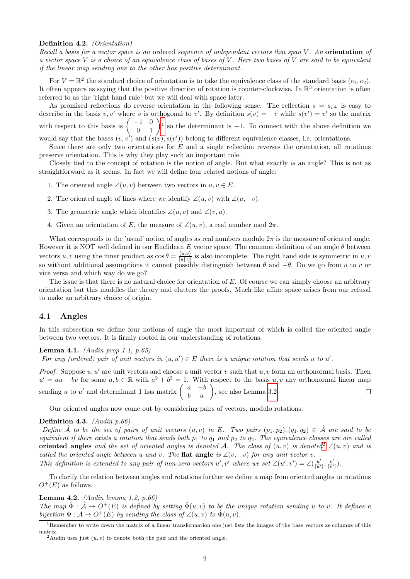#### Definition 4.2. (Orientation)

Recall a basis for a vector space is an ordered sequence of independent vectors that span V. An orientation of a vector space V is a choice of an equivalence class of bases of V. Here two bases of V are said to be equivalent if the linear map sending one to the other has positive determinant.

For  $V = \mathbb{R}^2$  the standard choice of orientation is to take the equivalence class of the standard basis  $(e_1, e_2)$ . It often appears as saying that the positive direction of rotation is counter-clockwise. In  $\mathbb{R}^3$  orientation is often referred to as the 'right hand rule' but we will deal with space later.

As promised reflections do reverse orientation in the following sense. The reflection  $s = s_{n\perp}$  is easy to describe in the basis v, v' where v is orthogonal to v'. By definition  $s(v) = -v$  while  $s(v') = v'$  so the matrix with respect to this basis is  $\begin{pmatrix} -1 & 0 \\ 0 & 1 \end{pmatrix}$  $\begin{pmatrix} -1 & 0 \\ 0 & 1 \end{pmatrix}$  $\begin{pmatrix} -1 & 0 \\ 0 & 1 \end{pmatrix}$  so the determinant is -1. To connect with the above definition we

would say that the bases  $(v, v')$  and  $(s(v), s(v'))$  belong to different equivalence classes, i.e. orientations.

Since there are only two orientations for  $E$  and a single reflection reverses the orientation, all rotations preserve orientation. This is why they play such an important role.

Closely tied to the concept of rotation is the notion of angle. But what exactly is an angle? This is not as straightforward as it seems. In fact we will define four related notions of angle:

- 1. The oriented angle  $\angle(u, v)$  between two vectors in  $u, v \in E$ .
- 2. The oriented angle of lines where we identify  $\angle(u, v)$  with  $\angle(u, -v)$ .
- 3. The geometric angle which identifies  $\angle(u, v)$  and  $\angle(v, u)$ .
- 4. Given an orientation of E, the measure of  $\measuredangle(u, v)$ , a real number mod  $2\pi$ .

What corresponds to the 'usual' notion of angles as real numbers modulo  $2\pi$  is the measure of oriented angle. However it is NOT well defined in our Euclidean E vector space. The common definition of an angle  $\theta$  between vectors  $u, v$  using the inner product as  $\cos \theta = \frac{\langle u, v \rangle}{|u||w|}$  $\frac{\langle u,v\rangle}{|u||v|}$  is also incomplete. The right hand side is symmetric in  $u, v$ so without additional assumptions it cannot possibly distinguish between  $\theta$  and  $-\theta$ . Do we go from u to v or vice versa and which way do we go?

The issue is that there is no natural choice for orientation of  $E$ . Of course we can simply choose an arbitrary orientation but this muddles the theory and clutters the proofs. Much like affine space arises from our refusal to make an arbitrary choice of origin.

# 4.1 Angles

In this subsection we define four notions of angle the most important of which is called the oriented angle between two vectors. It is firmly rooted in our understanding of rotations.

#### <span id="page-8-2"></span>**Lemma 4.1.** *(Audin prop 1.1, p.65)*

For any (ordered) pair of unit vectors in  $(u, u') \in E$  there is a unique rotation that sends u to u'.

*Proof.* Suppose  $u, u'$  are unit vectors and choose a unit vector v such that  $u, v$  form an orthonormal basis. Then  $u' = au + bv$  for some  $a, b \in \mathbb{R}$  with  $a^2 + b^2 = 1$ . With respect to the basis  $u, v$  any orthonormal linear map sending u to u' and determinant 1 has matrix  $\begin{pmatrix} a & -b \\ b & a \end{pmatrix}$ , see also Lemma [3.2.](#page-5-0)

Our oriented angles now come out by considering pairs of vectors, modulo rotations.

#### <span id="page-8-3"></span>Definition 4.3. (Audin p.66)

Define  $\hat{\mathcal{A}}$  to be the set of pairs of unit vectors  $(u, v)$  in E. Two pairs  $(p_1, p_2), (q_1, q_2) \in \hat{\mathcal{A}}$  are said to be equivalent if there exists a rotation that sends both  $p_1$  to  $q_1$  and  $p_2$  to  $q_2$ . The equivalence classes are are called oriented angles and the set of oriented angles is denoted A. The class of  $(u, v)$  is denoted  $\angle(u, v)$  and is called the oriented angle between u and v. The flat angle is  $\angle(v, -v)$  for any unit vector v.

This definition is extended to any pair of non-zero vectors u', v' where we set  $\angle(u',v') = \angle(\frac{u'}{w'})$  $\frac{u'}{|u'|}, \frac{v'}{|v'}$  $\frac{v}{|v'|}$ .

To clarify the relation between angles and rotations further we define a map from oriented angles to rotations  $O^+(E)$  as follows.

Lemma 4.2. (Audin lemma 1.2, p.66)

The map  $\hat{\Phi}: \hat{\mathcal{A}} \to O^+(E)$  is defined by setting  $\hat{\Phi}(u, v)$  to be the unique rotation sending u to v. It defines a bijection  $\Phi : \mathcal{A} \to O^+(E)$  by sending the class of  $\angle(u, v)$  to  $\hat{\Phi}(u, v)$ .

<span id="page-8-0"></span><sup>&</sup>lt;sup>1</sup>Remember to write down the matrix of a linear transformation one just lists the images of the base vectors as columns of this matrix.

<span id="page-8-1"></span><sup>&</sup>lt;sup>2</sup>Audin uses just  $(u, v)$  to denote both the pair and the oriented angle.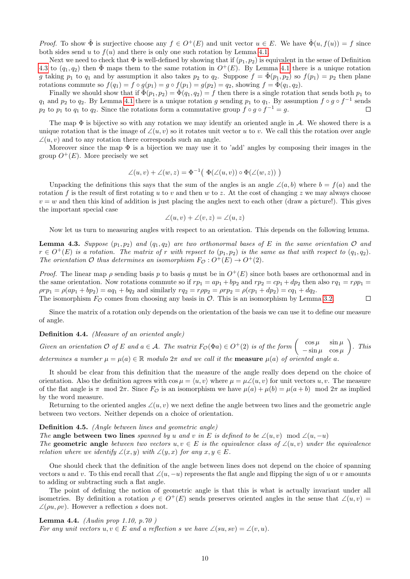*Proof.* To show  $\hat{\Phi}$  is surjective choose any  $f \in O^+(E)$  and unit vector  $u \in E$ . We have  $\hat{\Phi}(u, f(u)) = f$  since both sides send u to  $f(u)$  and there is only one such rotation by Lemma [4.1.](#page-8-2)

Next we need to check that  $\Phi$  is well-defined by showing that if  $(p_1, p_2)$  is equivalent in the sense of Definition [4.3](#page-8-3) to  $(q_1, q_2)$  then  $\hat{\Phi}$  maps them to the same rotation in  $O^+(E)$ . By Lemma [4.1](#page-8-2) there is a unique rotation g taking  $p_1$  to  $q_1$  and by assumption it also takes  $p_2$  to  $q_2$ . Suppose  $f = \Phi(p_1, p_2)$  so  $f(p_1) = p_2$  then plane rotations commute so  $f(q_1) = f \circ g(p_1) = g \circ f(p_1) = g(p_2) = q_2$ , showing  $f = \hat{\Phi}(q_1, q_2)$ .

Finally we should show that if  $\Phi(p_1, p_2) = \Phi(q_1, q_2) = f$  then there is a single rotation that sends both  $p_1$  to  $q_1$  and  $p_2$  to  $q_2$ . By Lemma [4.1](#page-8-2) there is a unique rotation g sending  $p_1$  to  $q_1$ . By assumption  $f \circ g \circ f^{-1}$  sends  $p_2$  to  $p_1$  to  $q_1$  to  $q_2$ . Since the rotations form a commutative group  $f \circ g \circ f^{-1} = g$ .  $\Box$ 

The map  $\Phi$  is bijective so with any rotation we may identify an oriented angle in  $\mathcal{A}$ . We showed there is a unique rotation that is the image of  $\angle(u, v)$  so it rotates unit vector u to v. We call this the rotation over angle  $\angle(u, v)$  and to any rotation there corresponds such an angle.

Moreover since the map  $\Phi$  is a bijection we may use it to 'add' angles by composing their images in the group  $O^+(E)$ . More precisely we set

$$
\angle(u, v) + \angle(w, z) = \Phi^{-1}(\Phi(\angle(u, v)) \circ \Phi(\angle(w, z)))
$$

Unpacking the definitions this says that the sum of the angles is an angle  $\angle(a, b)$  where  $b = f(a)$  and the rotation f is the result of first rotating u to v and then w to z. At the cost of changing z we may always choose  $v = w$  and then this kind of addition is just placing the angles next to each other (draw a picture!). This gives the important special case

$$
\angle(u, v) + \angle(v, z) = \angle(u, z)
$$

Now let us turn to measuring angles with respect to an orientation. This depends on the following lemma.

**Lemma 4.3.** Suppose  $(p_1, p_2)$  and  $(q_1, q_2)$  are two orthonormal bases of E in the same orientation O and  $r \in O^+(E)$  is a rotation. The matrix of r with repsect to  $(p_1, p_2)$  is the same as that with respect to  $(q_1, q_2)$ . The orientation O thus determines an isomorphism  $F_{\mathcal{O}}: O^+(E) \to O^+(2)$ .

*Proof.* The linear map  $\rho$  sending basis p to basis q must be in  $O^+(E)$  since both bases are orthonormal and in the same orientation. Now rotations commute so if  $rp_1 = ap_1 + bp_2$  and  $rp_2 = cp_1 + dp_2$  then also  $rq_1 = rpp_1$  $\rho r p_1 = \rho (a p_1 + b p_2) = a q_1 + b q_2$  and similarly  $r q_2 = r \rho p_2 = \rho r p_2 = \rho (c p_1 + d p_2) = c q_1 + d q_2$ . The isomorphism  $F_{\mathcal{O}}$  comes from choosing any basis in  $\mathcal{O}$ . This is an isomorphism by Lemma [3.2.](#page-5-0)  $\Box$ 

Since the matrix of a rotation only depends on the orientation of the basis we can use it to define our measure of angle.

# Definition 4.4. (Measure of an oriented angle)

Given an orientation  $\mathcal O$  of E and  $a \in \mathcal A$ . The matrix  $F_{\mathcal O}(\Phi a) \in O^+(2)$  is of the form  $\begin{pmatrix} \cos \mu & \sin \mu \\ \sin \mu & \cos \mu \end{pmatrix}$  $-\sin \mu \cos \mu$ ). This determines a number  $\mu = \mu(a) \in \mathbb{R}$  modulo  $2\pi$  and we call it the **measure**  $\mu(a)$  of oriented an

It should be clear from this definition that the measure of the angle really does depend on the choice of orientation. Also the definition agrees with  $\cos \mu = \langle u, v \rangle$  where  $\mu = \mu \angle(u, v)$  for unit vectors u, v. The measure of the flat angle is  $\pi$  mod  $2\pi$ . Since  $F_{\mathcal{O}}$  is an isomorphism we have  $\mu(a) + \mu(b) = \mu(a+b) \mod 2\pi$  as implied by the word measure.

Returning to the oriented angles  $\angle(u, v)$  we next define the angle between two lines and the geometric angle between two vectors. Neither depends on a choice of orientation.

#### Definition 4.5. (Angle between lines and geometric angle)

The angle between two lines spanned by u and v in E is defined to be  $\angle(u, v) \mod \angle(u, -u)$ 

The geometric angle between two vectors  $u, v \in E$  is the equivalence class of  $\angle(u, v)$  under the equivalence relation where we identify  $\angle(x, y)$  with  $\angle(y, x)$  for any  $x, y \in E$ .

One should check that the definition of the angle between lines does not depend on the choice of spanning vectors u and v. To this end recall that  $\angle(u,-u)$  represents the flat angle and flipping the sign of u or v amounts to adding or subtracting such a flat angle.

The point of defining the notion of geometric angle is that this is what is actually invariant under all isometries. By definition a rotation  $\rho \in O^+(E)$  sends preserves oriented angles in the sense that  $\angle(u, v)$  $\angle(\rho u, \rho v)$ . However a reflection s does not.

**Lemma 4.4.** *(Audin prop 1.10, p.70)* For any unit vectors  $u, v \in E$  and a reflection s we have  $\angle(su, sv) = \angle(v, u)$ .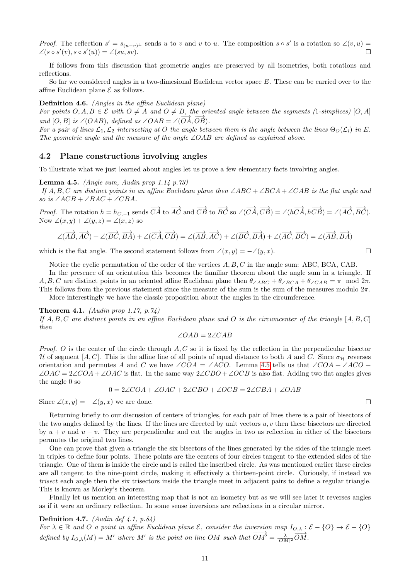*Proof.* The reflection  $s' = s_{(u-v)^\perp}$  sends u to v and v to u. The composition  $s \circ s'$  is a rotation so  $\angle(v, u)$  $\angle(s \circ s'(v), s \circ s'(u)) = \angle(su, sv).$  $\Box$ 

If follows from this discussion that geometric angles are preserved by all isometries, both rotations and reflections.

So far we considered angles in a two-dimesional Euclidean vector space E. These can be carried over to the affine Euclidean plane  $\mathcal E$  as follows.

#### Definition 4.6. (Angles in the affine Euclidean plane)

For points  $O, A, B \in \mathcal{E}$  with  $O \neq A$  and  $O \neq B$ , the oriented angle between the segments (1-simplices) [O, A] and  $[O, B]$  is  $\angle(OAB)$ , defined as  $\angle OAB = \angle(\overrightarrow{OA}, \overrightarrow{OB})$ .

For a pair of lines  $\mathcal{L}_1,\mathcal{L}_2$  intersecting at O the angle between them is the angle between the lines  $\Theta_O(\mathcal{L}_i)$  in E. The geometric angle and the measure of the angle ∠OAB are defined as explained above.

# 4.2 Plane constructions involving angles

To illustrate what we just learned about angles let us prove a few elementary facts involving angles.

<span id="page-10-0"></span>**Lemma 4.5.** (Angle sum, Audin prop 1.14 p.73)

If A, B, C are distinct points in an affine Euclidean plane then  $\angle ABC + \angle BCA + \angle CAB$  is the flat angle and so is  $\angle ACB + \angle BAC + \angle CBA$ .

Proof. The rotation  $h = h_{C,-1}$  sends  $\overrightarrow{CA}$  to  $\overrightarrow{AC}$  and  $\overrightarrow{CB}$  to  $\overrightarrow{BC}$  so  $\angle(\overrightarrow{CA}, \overrightarrow{CB}) = \angle(h\overrightarrow{CA}, h\overrightarrow{CB}) = \angle(\overrightarrow{AC}, \overrightarrow{BC})$ . Now  $\angle(x, y) + \angle(y, z) = \angle(x, z)$  so

$$
\angle(\overrightarrow{AB},\overrightarrow{AC}) + \angle(\overrightarrow{BC},\overrightarrow{BA}) + \angle(\overrightarrow{CA},\overrightarrow{CB}) = \angle(\overrightarrow{AB},\overrightarrow{AC}) + \angle(\overrightarrow{BC},\overrightarrow{BA}) + \angle(\overrightarrow{AC},\overrightarrow{BC}) = \angle(\overrightarrow{AB},\overrightarrow{BA})
$$

which is the flat angle. The second statement follows from  $\angle(x, y) = -\angle(y, x)$ .

Notice the cyclic permutation of the order of the vertices  $A, B, C$  in the angle sum: ABC, BCA, CAB.

In the presence of an orientation this becomes the familiar theorem about the angle sum in a triangle. If  $A, B, C$  are distinct points in an oriented affine Euclidean plane then  $\theta_{\angle ABC} + \theta_{\angle BCA} + \theta_{\angle CAB} = \pi \mod 2\pi$ . This follows from the previous statement since the measure of the sum is the sum of the measures modulo  $2\pi$ . More interestingly we have the classic proposition about the angles in the circumference.

Theorem 4.1. (Audin prop 1.17, p.74)

If  $A, B, C$  are distinct points in an affine Euclidean plane and O is the circumcenter of the triangle  $[A, B, C]$ then

$$
\angle OAB = 2\angle CAB
$$

*Proof.* O is the center of the circle through  $A, C$  so it is fixed by the reflection in the perpendicular bisector H of segment  $[A, C]$ . This is the affine line of all points of equal distance to both A and C. Since  $\sigma_{\mathcal{H}}$  reverses orientation and permutes A and C we have ∠COA = ∠ACO. Lemma [4.5](#page-10-0) tells us that ∠COA + ∠ACO +  $\angle OAC = 2\angle COA + \angle OAC$  is flat. In the same way  $2\angle CBO + \angle OCB$  is also flat. Adding two flat angles gives the angle 0 so

$$
0 = 2\angle COA + \angle OAC + 2\angle CBO + \angle OCB = 2\angle CBA + \angle OAB
$$

Since  $\angle(x, y) = -\angle(y, x)$  we are done.

Returning briefly to our discussion of centers of triangles, for each pair of lines there is a pair of bisectors of the two angles defined by the lines. If the lines are directed by unit vectors  $u, v$  then these bisectors are directed by  $u + v$  and  $u - v$ . They are perpendicular and cut the angles in two as reflection in either of the bisectors permutes the original two lines.

One can prove that given a triangle the six bisectors of the lines generated by the sides of the triangle meet in triples to define four points. These points are the centers of four circles tangent to the extended sides of the triangle. One of them is inside the circle and is called the inscribed circle. As was mentioned earlier these circles are all tangent to the nine-point circle, making it effectively a thirteen-point circle. Curiously, if instead we trisect each angle then the six trisectors inside the triangle meet in adjacent pairs to define a regular triangle. This is known as Morley's theorem.

Finally let us mention an interesting map that is not an isometry but as we will see later it reverses angles as if it were an ordinary reflection. In some sense inversions are reflections in a circular mirror.

#### Definition 4.7. (Audin def  $\{4.1, p.84\}$ )

For  $\lambda \in \mathbb{R}$  and O a point in affine Euclidean plane  $\mathcal{E}$ , consider the inversion map  $I_{O,\lambda} : \mathcal{E} - \{O\} \to \mathcal{E} - \{O\}$ defined by  $I_{O,\lambda}(M) = M'$  where M' is the point on line OM such that  $\overline{OM'} = \frac{\lambda}{|\overline{OM}|^2} \overline{OM}$ .

 $\Box$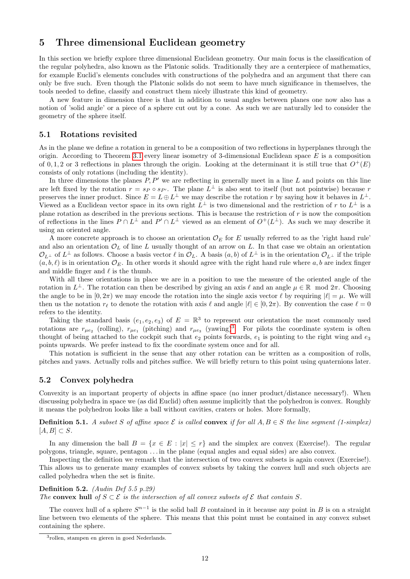# 5 Three dimensional Euclidean geometry

In this section we briefly explore three dimensional Euclidean geometry. Our main focus is the classification of the regular polyhedra, also known as the Platonic solids. Traditionally they are a centerpiece of mathematics, for example Euclid's elements concludes with constructions of the polyhedra and an argument that there can only be five such. Even though the Platonic solids do not seem to have much significance in themselves, the tools needed to define, classify and construct them nicely illustrate this kind of geometry.

A new feature in dimension three is that in addition to usual angles between planes one now also has a notion of 'solid angle' or a piece of a sphere cut out by a cone. As such we are naturally led to consider the geometry of the sphere itself.

#### 5.1 Rotations revisited

As in the plane we define a rotation in general to be a composition of two reflections in hyperplanes through the origin. According to Theorem [3.1](#page-4-0) every linear isometry of 3-dimensional Euclidean space  $E$  is a composition of 0, 1, 2 or 3 reflections in planes through the origin. Looking at the determinant it is still true that  $O^+(E)$ consists of only rotations (including the identity).

In three dimensions the planes  $P, P'$  we are reflecting in generally meet in a line L and points on this line are left fixed by the rotation  $r = s_P \circ s_{P'}$ . The plane  $L^{\perp}$  is also sent to itself (but not pointwise) because r preserves the inner product. Since  $E = L \oplus L^{\perp}$  we may describe the rotation r by saying how it behaves in  $L^{\perp}$ . Viewed as a Euclidean vector space in its own right  $L^{\perp}$  is two dimensional and the restriction of r to  $L^{\perp}$  is a plane rotation as described in the previous sections. This is because the restriction of r is now the composition of reflections in the lines  $P \cap L^{\perp}$  and  $P' \cap L^{\perp}$  viewed as an element of  $O^+(L^{\perp})$ . As such we may describe it using an oriented angle.

A more concrete approach is to choose an orientation  $\mathcal{O}_E$  for E usually referred to as the 'right hand rule' and also an orientation  $\mathcal{O}_L$  of line L usually thought of an arrow on L. In that case we obtain an orientation  $\mathcal{O}_{L^{\perp}}$  of  $L^{\perp}$  as follows. Choose a basis vector  $\ell$  in  $\mathcal{O}_L$ . A basis  $(a, b)$  of  $L^{\perp}$  is in the orientation  $\mathcal{O}_{L^{\perp}}$  if the triple  $(a, b, \ell)$  is in orientation  $\mathcal{O}_E$ . In other words it should agree with the right hand rule where a, b are index finger and middle finger and  $\ell$  is the thumb.

With all these orientations in place we are in a position to use the measure of the oriented angle of the rotation in  $L^{\perp}$ . The rotation can then be described by giving an axis  $\ell$  and an angle  $\mu \in \mathbb{R}$  mod  $2\pi$ . Choosing the angle to be in  $[0, 2\pi)$  we may encode the rotation into the single axis vector  $\ell$  by requiring  $|\ell| = \mu$ . We will then us the notation  $r_\ell$  to denote the rotation with axis  $\ell$  and angle  $|\ell| \in [0, 2\pi)$ . By convention the case  $\ell = 0$ refers to the identity.

Taking the standard basis  $(e_1, e_2, e_3)$  of  $E = \mathbb{R}^3$  to represent our orientation the most commonly used rotations are  $r_{\mu e_2}$  (rolling),  $r_{\mu e_1}$  (pitching) and  $r_{\mu e_3}$  $r_{\mu e_3}$  $r_{\mu e_3}$  (yawing)<sup>3</sup>. For pilots the coordinate system is often thought of being attached to the cockpit such that  $e_2$  points forwards,  $e_1$  is pointing to the right wing and  $e_3$ points upwards. We prefer instead to fix the coordinate system once and for all.

This notation is sufficient in the sense that any other rotation can be written as a composition of rolls, pitches and yaws. Actually rolls and pitches suffice. We will briefly return to this point using quaternions later.

# 5.2 Convex polyhedra

Convexity is an important property of objects in affine space (no inner product/distance necessary!). When discussing polyhedra in space we (as did Euclid) often assume implicitly that the polyhedron is convex. Roughly it means the polyhedron looks like a ball without cavities, craters or holes. More formally,

**Definition 5.1.** A subset S of affine space  $\mathcal E$  is called **convex** if for all  $A, B \in S$  the line segment (1-simplex)  $[A, B] \subset S$ .

In any dimension the ball  $B = \{x \in E : |x| \leq r\}$  and the simplex are convex (Exercise!). The regular polygons, triangle, square, pentagon . . . in the plane (equal angles and equal sides) are also convex.

Inspecting the definition we remark that the intersection of two convex subsets is again convex (Exercise!). This allows us to generate many examples of convex subsets by taking the convex hull and such objects are called polyhedra when the set is finite.

**Definition 5.2.** (Audin Def 5.5 p.29) The convex hull of  $S \subset \mathcal{E}$  is the intersection of all convex subsets of  $\mathcal{E}$  that contain S.

The convex hull of a sphere  $S^{n-1}$  is the solid ball B contained in it because any point in B is on a straight line between two elements of the sphere. This means that this point must be contained in any convex subset containing the sphere.

<span id="page-11-0"></span><sup>3</sup> rollen, stampen en gieren in goed Nederlands.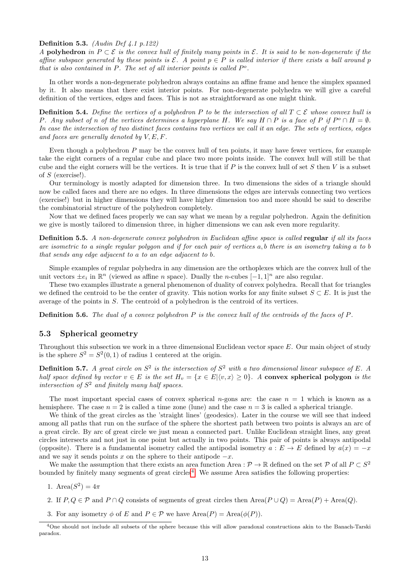#### Definition 5.3. (Audin Def 4.1 p.122)

A polyhedron in  $P \subset \mathcal{E}$  is the convex hull of finitely many points in  $\mathcal{E}$ . It is said to be non-degenerate if the affine subspace generated by these points is  $\mathcal{E}$ . A point  $p \in P$  is called interior if there exists a ball around p that is also contained in  $P$ . The set of all interior points is called  $P^o$ .

In other words a non-degenerate polyhedron always contains an affine frame and hence the simplex spanned by it. It also means that there exist interior points. For non-degenerate polyhedra we will give a careful definition of the vertices, edges and faces. This is not as straightforward as one might think.

**Definition 5.4.** Define the vertices of a polyhedron P to be the intersection of all  $T \subset \mathcal{E}$  whose convex hull is P. Any subset of n of the vertices determines a hyperplane H. We say  $H \cap P$  is a face of P if  $P^o \cap H = \emptyset$ . In case the intersection of two distinct faces contains two vertices we call it an edge. The sets of vertices, edges and faces are generally denoted by V, E, F.

Even though a polyhedron P may be the convex hull of ten points, it may have fewer vertices, for example take the eight corners of a regular cube and place two more points inside. The convex hull will still be that cube and the eight corners will be the vertices. It is true that if  $P$  is the convex hull of set  $S$  then  $V$  is a subset of S (exercise!).

Our terminology is mostly adapted for dimension three. In two dimensions the sides of a triangle should now be called faces and there are no edges. In three dimensions the edges are intervals connecting two vertices (exercise!) but in higher dimensions they will have higher dimension too and more should be said to describe the combinatorial structure of the polyhedron completely.

Now that we defined faces properly we can say what we mean by a regular polyhedron. Again the definition we give is mostly tailored to dimension three, in higher dimensions we can ask even more regularity.

Definition 5.5. A non-degenerate convex polyhedron in Euclidean affine space is called regular if all its faces are isometric to a single regular polygon and if for each pair of vertices a, b there is an isometry taking a to b that sends any edge adjacent to a to an edge adjacent to b.

Simple examples of regular polyhedra in any dimension are the orthoplexes which are the convex hull of the unit vectors  $\pm e_i$  in  $\mathbb{R}^n$  (viewed as affine *n* space). Dually the *n*-cubes  $[-1, 1]^n$  are also regular.

These two examples illustrate a general phenomenon of duality of convex polyhedra. Recall that for triangles we defined the centroid to be the center of gravity. This notion works for any finite subset  $S \subset E$ . It is just the average of the points in S. The centroid of a polyhedron is the centroid of its vertices.

Definition 5.6. The dual of a convex polyhedron P is the convex hull of the centroids of the faces of P.

# 5.3 Spherical geometry

Throughout this subsection we work in a three dimensional Euclidean vector space E. Our main object of study is the sphere  $S^2 = S^2(0,1)$  of radius 1 centered at the origin.

**Definition 5.7.** A great circle on  $S^2$  is the intersection of  $S^2$  with a two dimensional linear subspace of E. A half space defined by vector  $v \in E$  is the set  $H_v = \{x \in E | \langle v, x \rangle \ge 0\}$ . A convex spherical polygon is the intersection of  $S^2$  and finitely many half spaces.

The most important special cases of convex spherical n-gons are: the case  $n = 1$  which is known as a hemisphere. The case  $n = 2$  is called a time zone (lune) and the case  $n = 3$  is called a spherical triangle.

We think of the great circles as the 'straight lines' (geodesics). Later in the course we will see that indeed among all paths that run on the surface of the sphere the shortest path between two points is always an arc of a great circle. By arc of great circle we just mean a connected part. Unlike Euclidean straight lines, any great circles intersects and not just in one point but actually in two points. This pair of points is always antipodal (opposite). There is a fundamental isometry called the antipodal isometry  $a: E \to E$  defined by  $a(x) = -x$ and we say it sends points x on the sphere to their antipode  $-x$ .

We make the assumption that there exists an area function Area :  $\mathcal{P} \to \mathbb{R}$  defined on the set  $\mathcal{P}$  of all  $P \subset S^2$ bounded by finitely many segments of great circles<sup>[4](#page-12-0)</sup>. We assume Area satisfies the following properties:

1.  $Area(S^2) = 4\pi$ 

2. If  $P, Q \in \mathcal{P}$  and  $P \cap Q$  consists of segments of great circles then  $Area(P \cup Q) = Area(P) + Area(Q)$ .

3. For any isometry  $\phi$  of E and  $P \in \mathcal{P}$  we have  $Area(P) = Area(\phi(P))$ .

<span id="page-12-0"></span><sup>4</sup>One should not include all subsets of the sphere because this will allow paradoxal constructions akin to the Banach-Tarski paradox.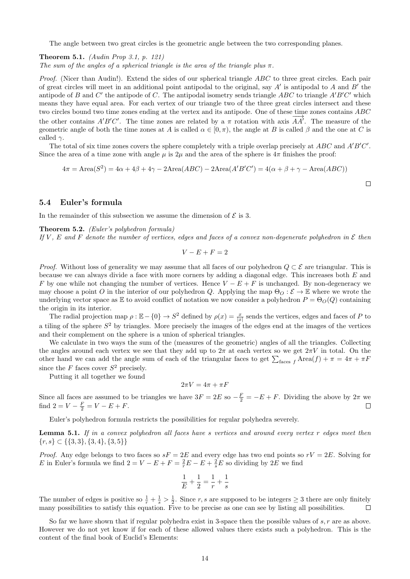The angle between two great circles is the geometric angle between the two corresponding planes.

Theorem 5.1. (Audin Prop 3.1, p. 121)

The sum of the angles of a spherical triangle is the area of the triangle plus  $\pi$ .

Proof. (Nicer than Audin!). Extend the sides of our spherical triangle ABC to three great circles. Each pair of great circles will meet in an additional point antipodal to the original, say  $A'$  is antipodal to  $A$  and  $B'$  the antipode of B and C' the antipode of C. The antipodal isometry sends triangle  $ABC$  to triangle  $A'B'C'$  which means they have equal area. For each vertex of our triangle two of the three great circles intersect and these two circles bound two time zones ending at the vertex and its antipode. One of these time zones contains ABC the other contains  $A'B'C'$ . The time zones are related by a  $\pi$  rotation with axis  $\overrightarrow{AA'}$ . The measure of the geometric angle of both the time zones at A is called  $\alpha \in [0, \pi)$ , the angle at B is called  $\beta$  and the one at C is called  $\gamma$ .

The total of six time zones covers the sphere completely with a triple overlap precisely at  $ABC$  and  $A'B'C'$ . Since the area of a time zone with angle  $\mu$  is  $2\mu$  and the area of the sphere is  $4\pi$  finishes the proof:

$$
4\pi = \text{Area}(S^2) = 4\alpha + 4\beta + 4\gamma - 2\text{Area}(ABC) - 2\text{Area}(A'B'C') = 4(\alpha + \beta + \gamma - \text{Area}(ABC))
$$

### 5.4 Euler's formula

In the remainder of this subsection we assume the dimension of  $\mathcal E$  is 3.

### Theorem 5.2. (Euler's polyhedron formula)

If V, E and F denote the number of vertices, edges and faces of a convex non-degenerate polyhedron in  $\mathcal E$  then

 $V - E + F = 2$ 

*Proof.* Without loss of generality we may assume that all faces of our polyhedron  $Q \subset \mathcal{E}$  are triangular. This is because we can always divide a face with more corners by adding a diagonal edge. This increases both E and F by one while not changing the number of vertices. Hence  $V - E + F$  is unchanged. By non-degeneracy we may choose a point O in the interior of our polyhedron Q. Applying the map  $\Theta_O : \mathcal{E} \to \mathbb{E}$  where we wrote the underlying vector space as  $\mathbb E$  to avoid conflict of notation we now consider a polyhedron  $P = \Theta_O(Q)$  containing the origin in its interior.

The radial projection map  $\rho : \mathbb{E} - \{0\} \to S^2$  defined by  $\rho(x) = \frac{x}{|x|}$  sends the vertices, edges and faces of P to a tiling of the sphere  $S<sup>2</sup>$  by triangles. More precisely the images of the edges end at the images of the vertices and their complement on the sphere is a union of spherical triangles.

We calculate in two ways the sum of the (measures of the geometric) angles of all the triangles. Collecting the angles around each vertex we see that they add up to  $2\pi$  at each vertex so we get  $2\pi V$  in total. On the other hand we can add the angle sum of each of the triangular faces to get  $\sum_{\text{faces } f} \text{Area}(f) + \pi = 4\pi + \pi F$ since the  $F$  faces cover  $S^2$  precisely.

Putting it all together we found

$$
2\pi V = 4\pi + \pi F
$$

Since all faces are assumed to be triangles we have  $3F = 2E$  so  $-\frac{F}{2} = -E + F$ . Dividing the above by  $2\pi$  we find  $2 = V - \frac{F}{2} = V - E + F$ .

Euler's polyhedron formula restricts the possibilities for regular polyhedra severely.

**Lemma 5.1.** If in a convex polyhedron all faces have s vertices and around every vertex  $r$  edges meet then  $\{r, s\} \subset \{\{3, 3\}, \{3, 4\}, \{3, 5\}\}\$ 

*Proof.* Any edge belongs to two faces so  $sF = 2E$  and every edge has two end points so  $rV = 2E$ . Solving for E in Euler's formula we find  $2 = V - E + F = \frac{2}{r}E - E + \frac{2}{s}E$  so dividing by  $2E$  we find

$$
\frac{1}{E}+\frac{1}{2}=\frac{1}{r}+\frac{1}{s}
$$

The number of edges is positive so  $\frac{1}{r} + \frac{1}{s} > \frac{1}{2}$ . Since r, s are supposed to be integers  $\geq 3$  there are only finitely many possibilities to satisfy this equation. Five to be precise as one can see by listing all possibilities.  $\Box$ 

So far we have shown that if regular polyhedra exist in 3-space then the possible values of s, r are as above. However we do not yet know if for each of these allowed values there exists such a polyhedron. This is the content of the final book of Euclid's Elements: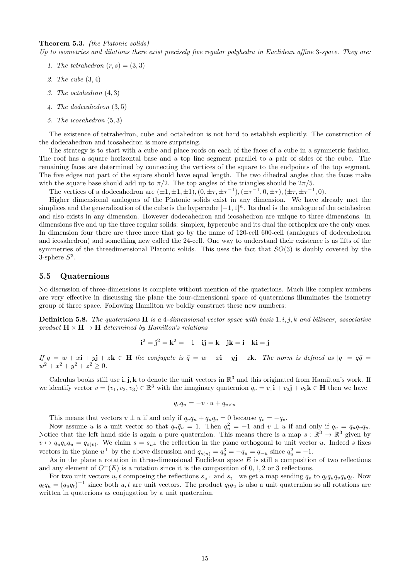#### Theorem 5.3. (the Platonic solids)

Up to isometries and dilations there exist precisely five regular polyhedra in Euclidean affine 3-space. They are:

- 1. The tetrahedron  $(r, s) = (3, 3)$
- 2. The cube (3, 4)
- 3. The octahedron (4, 3)
- 4. The dodecahedron (3, 5)
- 5. The icosahedron (5, 3)

The existence of tetrahedron, cube and octahedron is not hard to establish explicitly. The construction of the dodecahedron and icosahedron is more surprising.

The strategy is to start with a cube and place roofs on each of the faces of a cube in a symmetric fashion. The roof has a square horizontal base and a top line segment parallel to a pair of sides of the cube. The remaining faces are determined by connecting the vertices of the square to the endpoints of the top segment. The five edges not part of the square should have equal length. The two dihedral angles that the faces make with the square base should add up to  $\pi/2$ . The top angles of the triangles should be  $2\pi/5$ .

The vertices of a dodecahedron are  $(\pm 1, \pm 1, \pm 1), (0, \pm \tau, \pm \tau^{-1}), (\pm \tau^{-1}, 0, \pm \tau), (\pm \tau, \pm \tau^{-1}, 0).$ 

Higher dimensional analogues of the Platonic solids exist in any dimension. We have already met the simplices and the generalization of the cube is the hypercube  $[-1, 1]^n$ . Its dual is the analogue of the octahedron and also exists in any dimension. However dodecahedron and icosahedron are unique to three dimensions. In dimensions five and up the three regular solids: simplex, hypercube and its dual the orthoplex are the only ones. In dimension four there are three more that go by the name of 120-cell 600-cell (analogues of dodecahedron and icosahedron) and something new called the 24-cell. One way to understand their existence is as lifts of the symmetries of the threedimensional Platonic solids. This uses the fact that  $SO(3)$  is doubly covered by the 3-sphere  $S^3$ .

# 5.5 Quaternions

No discussion of three-dimensions is complete without mention of the quaterions. Much like complex numbers are very effective in discussing the plane the four-dimensional space of quaternions illuminates the isometry group of three space. Following Hamilton we boldly construct these new numbers:

**Definition 5.8.** The quaternions  $H$  is a 4-dimensional vector space with basis  $1, i, j, k$  and bilinear, associative product  $\mathbf{H} \times \mathbf{H} \to \mathbf{H}$  determined by Hamilton's relations

$$
\mathbf{i}^2 = \mathbf{j}^2 = \mathbf{k}^2 = -1 \quad \mathbf{ij} = \mathbf{k} \quad \mathbf{j}\mathbf{k} = \mathbf{i} \quad \mathbf{k}\mathbf{i} = \mathbf{j}
$$

If  $q = w + x\mathbf{i} + y\mathbf{j} + z\mathbf{k} \in H$  the conjugate is  $\bar{q} = w - x\mathbf{i} - y\mathbf{j} - z\mathbf{k}$ . The norm is defined as  $|q| = q\bar{q} =$  $w^2 + x^2 + y^2 + z^2 \geq 0.$ 

Calculus books still use  $\mathbf{i}, \mathbf{j}, \mathbf{k}$  to denote the unit vectors in  $\mathbb{R}^3$  and this originated from Hamilton's work. If we identify vector  $v = (v_1, v_2, v_3) \in \mathbb{R}^3$  with the imaginary quaternion  $q_v = v_1 \mathbf{i} + v_2 \mathbf{j} + v_3 \mathbf{k} \in \mathbf{H}$  then we have

$$
q_v q_u = -v \cdot u + q_{v \times u}
$$

This means that vectors  $v \perp u$  if and only if  $q_vq_u + q_uq_v = 0$  because  $\bar{q}_v = -q_v$ .

Now assume u is a unit vector so that  $q_u\bar{q}_u = 1$ . Then  $q_u^2 = -1$  and  $v \perp u$  if and only if  $q_v = q_u q_v q_u$ . Notice that the left hand side is again a pure quaternion. This means there is a map  $s : \mathbb{R}^3 \to \mathbb{R}^3$  given by  $v \mapsto q_u q_v q_u = q_{s(v)}$ . We claim  $s = s_u$  the reflection in the plane orthogonal to unit vector u. Indeed s fixes vectors in the plane  $u^{\perp}$  by the above discussion and  $q_{s(u)} = q_u^3 = -q_u = q_{-u}$  since  $q_u^2 = -1$ .

As in the plane a rotation in three-dimensional Euclidean space  $E$  is still a composition of two reflections and any element of  $O^+(E)$  is a rotation since it is the composition of 0, 1, 2 or 3 reflections.

For two unit vectors  $u, t$  composing the reflections  $s_{u^{\perp}}$  and  $s_{t^{\perp}}$  we get a map sending  $q_v$  to  $q_tq_uq_vq_uq_t$ . Now  $q_tq_u = (q_uq_t)^{-1}$  since both u, t are unit vectors. The product  $q_tq_u$  is also a unit quaternion so all rotations are written in quaterions as conjugation by a unit quaternion.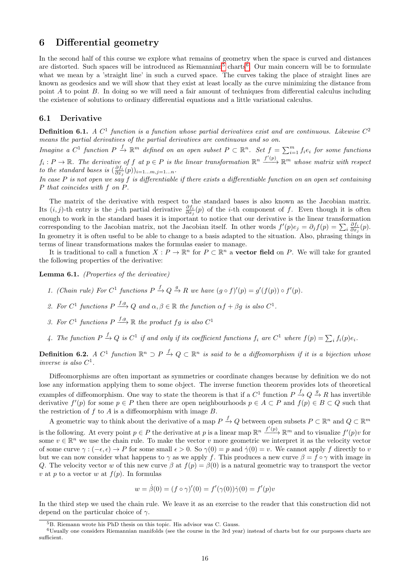# 6 Differential geometry

In the second half of this course we explore what remains of geometry when the space is curved and distances are distorted. Such spaces will be introduced as Riemannian<sup>[5](#page-15-0)</sup> charts<sup>[6](#page-15-1)</sup>. Our main concern will be to formulate what we mean by a 'straight line' in such a curved space. The curves taking the place of straight lines are known as geodesics and we will show that they exist at least locally as the curve minimizing the distance from point A to point B. In doing so we will need a fair amount of techniques from differential calculus including the existence of solutions to ordinary differential equations and a little variational calculus.

# 6.1 Derivative

**Definition 6.1.** A  $C^1$  function is a function whose partial derivatives exist and are continuous. Likewise  $C^2$ means the partial derivatives of the partial derivatives are continuous and so on.

Imagine a  $C^1$  function  $P \stackrel{f}{\to} \mathbb{R}^m$  defined on an open subset  $P \subset \mathbb{R}^n$ . Set  $f = \sum_{i=1}^m f_i e_i$  for some functions  $f_i: P \to \mathbb{R}$ . The derivative of f at  $p \in P$  is the linear transformation  $\mathbb{R}^n \xrightarrow{f'(p)} \mathbb{R}^m$  whose matrix with respect to the standard bases is  $(\frac{\partial f_i}{\partial x_j}(p))_{i=1...m, j=1...n}$ .

In case P is not open we say f is differentiable if there exists a differentiable function on an open set containing P that coincides with f on P.

The matrix of the derivative with respect to the standard bases is also known as the Jacobian matrix. Its  $(i, j)$ -th entry is the j-th partial derivative  $\frac{\partial f_i}{\partial x_j}(p)$  of the *i*-th component of f. Even though it is often enough to work in the standard bases it is important to notice that our derivative is the linear transformation corresponding to the Jacobian matrix, not the Jacobian itself. In other words  $f'(p)e_j = \partial_j f(p) = \sum_i \frac{\partial f_i}{\partial x_j}(p)$ . In geometry it is often useful to be able to change to a basis adapted to the situation. Also, phrasing things in terms of linear transformations makes the formulas easier to manage.

It is traditional to call a function  $X: P \to \mathbb{R}^n$  for  $P \subset \mathbb{R}^n$  a **vector field** on P. We will take for granted the following properties of the derivative:

Lemma 6.1. (Properties of the derivative)

- 1. (Chain rule) For  $C^1$  functions  $P \xrightarrow{f} Q \xrightarrow{g} R$  we have  $(g \circ f)'(p) = g'(f(p)) \circ f'(p)$ .
- 2. For  $C^1$  functions  $P \stackrel{f,g}{\longrightarrow} Q$  and  $\alpha, \beta \in \mathbb{R}$  the function  $\alpha f + \beta g$  is also  $C^1$ .
- 3. For  $C^1$  functions  $P \xrightarrow{f,g} \mathbb{R}$  the product fg is also  $C^1$
- 4. The function  $P \stackrel{f}{\to} Q$  is  $C^1$  if and only if its coefficient functions  $f_i$  are  $C^1$  where  $f(p) = \sum_i f_i(p)e_i$ .

**Definition 6.2.** A  $C^1$  function  $\mathbb{R}^n \supset P \stackrel{f}{\to} Q \subset \mathbb{R}^n$  is said to be a diffeomorphism if it is a bijection whose inverse is also  $C^1$ .

Diffeomorphisms are often important as symmetries or coordinate changes because by definition we do not lose any information applying them to some object. The inverse function theorem provides lots of theoretical examples of diffeomorphism. One way to state the theorem is that if a  $C^1$  function  $P \stackrel{f}{\to} Q \stackrel{g}{\to} R$  has invertible derivative  $f'(p)$  for some  $p \in P$  then there are open neighbourhoods  $p \in A \subset P$  and  $f(p) \in B \subset Q$  such that the restriction of  $f$  to  $A$  is a diffeomorphism with image  $B$ .

A geometric way to think about the derivative of a map  $P \stackrel{f}{\to} Q$  between open subsets  $P \subset \mathbb{R}^n$  and  $Q \subset \mathbb{R}^m$ is the following. At every point  $p \in P$  the derivative at p is a linear map  $\mathbb{R}^n \xrightarrow{f'(p)} \mathbb{R}^m$  and to visualize  $f'(p)v$  for some  $v \in \mathbb{R}^n$  we use the chain rule. To make the vector v more geometric we interpret it as the velocity vector of some curve  $\gamma : (-\epsilon, \epsilon) \to P$  for some small  $\epsilon > 0$ . So  $\gamma(0) = p$  and  $\dot{\gamma}(0) = v$ . We cannot apply f directly to v but we can now consider what happens to  $\gamma$  as we apply f. This produces a new curve  $\beta = f \circ \gamma$  with image in Q. The velocity vector w of this new curve  $\beta$  at  $f(p) = \beta(0)$  is a natural geometric way to transport the vector v at p to a vector w at  $f(p)$ . In formulas

$$
w = \dot{\beta}(0) = (f \circ \gamma)'(0) = f'(\gamma(0))\dot{\gamma}(0) = f'(p)v
$$

In the third step we used the chain rule. We leave it as an exercise to the reader that this construction did not depend on the particular choice of  $\gamma$ .

<span id="page-15-1"></span><span id="page-15-0"></span><sup>5</sup>B. Riemann wrote his PhD thesis on this topic. His advisor was C. Gauss.

<sup>6</sup>Usually one considers Riemannian manifolds (see the course in the 3rd year) instead of charts but for our purposes charts are sufficient.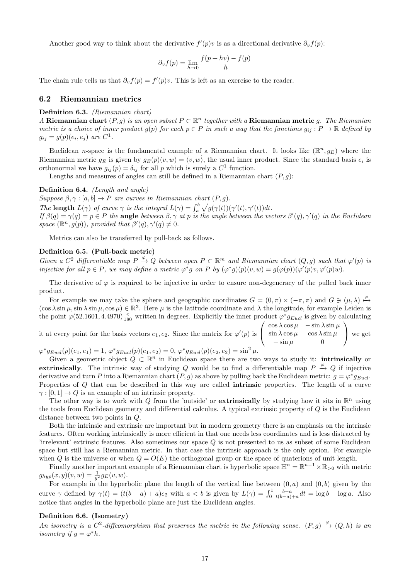Another good way to think about the derivative  $f'(p)v$  is as a directional derivative  $\partial_v f(p)$ :

$$
\partial_v f(p) = \lim_{h \to 0} \frac{f(p + hv) - f(p)}{h}
$$

The chain rule tells us that  $\partial_v f(p) = f'(p)v$ . This is left as an exercise to the reader.

## 6.2 Riemannian metrics

#### Definition 6.3. (Riemannian chart)

A Riemannian chart  $(P, g)$  is an open subset  $P \subset \mathbb{R}^n$  together with a Riemannian metric g. The Riemanian metric is a choice of inner product  $g(p)$  for each  $p \in P$  in such a way that the functions  $g_{ij}: P \to \mathbb{R}$  defined by  $g_{ij} = g(p)(e_i, e_j)$  are  $C^1$ .

Euclidean *n*-space is the fundamental example of a Riemannian chart. It looks like  $(\mathbb{R}^n, g_E)$  where the Riemannian metric  $g_E$  is given by  $g_E(p)(v, w) = \langle v, w \rangle$ , the usual inner product. Since the standard basis  $e_i$  is orthonormal we have  $g_{ij}(p) = \delta_{ij}$  for all p which is surely a  $C^1$  function.

Lengths and measures of angles can still be defined in a Riemannian chart  $(P, g)$ :

#### Definition 6.4. (Length and angle)

Suppose  $\beta, \gamma : [a, b] \to P$  are curves in Riemannian chart  $(P, g)$ . The length  $L(\gamma)$  of curve  $\gamma$  is the integral  $L(\gamma) = \int_a^b \sqrt{g(\gamma(t))(\gamma'(t), \gamma'(t))} dt$ . If  $\beta(q) = \gamma(q) = p \in P$  the angle between  $\beta, \gamma$  at p is the angle between the vectors  $\beta'(q), \gamma'(q)$  in the Euclidean space  $(\mathbb{R}^n, g(p))$ , provided that  $\beta'(q), \gamma'(q) \neq 0$ .

Metrics can also be transferred by pull-back as follows.

# Definition 6.5. (Pull-back metric)

Given a  $C^2$  differentiable map  $P \stackrel{\varphi}{\rightarrow} Q$  between open  $P \subset \mathbb{R}^m$  and Riemannian chart  $(Q, g)$  such that  $\varphi'(p)$  is injective for all  $p \in P$ , we may define a metric  $\varphi^* g$  on P by  $(\varphi^* g)(p)(v, w) = g(\varphi(p))(\varphi'(p)v, \varphi'(p)w)$ .

The derivative of  $\varphi$  is required to be injective in order to ensure non-degeneracy of the pulled back inner product.

For example we may take the sphere and geographic coordinates  $G = (0, \pi) \times (-\pi, \pi)$  and  $G \ni (\mu, \lambda) \stackrel{\varphi}{\mapsto}$  $(\cos \lambda \sin \mu, \sin \lambda \sin \mu, \cos \mu) \in \mathbb{R}^3$ . Here  $\mu$  is the latitude coordinate and  $\lambda$  the longitude, for example Leiden is the point  $\varphi(52.1601, 4.4970) \frac{\pi}{180}$  written in degrees. Explicitly the inner product  $\varphi^* g_{Eucl}$  is given by calculating

it at every point for the basis vectors  $e_1, e_2$ . Since the matrix for  $\varphi'(p)$  is  $\sqrt{ }$  $\overline{1}$  $\cos \lambda \cos \mu - \sin \lambda \sin \mu$  $\sin \lambda \cos \mu \quad \cos \lambda \sin \mu$  $-\sin \mu$  0  $\setminus$  we get \*a<sub>n</sub>  $\sqrt{n}$ (e, e,) - 1  $\alpha^*$ an  $\sqrt{n}$ (e, e,) - 0  $\alpha^*$ 

 $\varphi^* g_{Eucl}(p)(e_1, e_1) = 1, \ \varphi^* g_{Eucl}(p)(e_1, e_2) = 0, \ \varphi^* g_{Eucl}(p)(e_2, e_2) = \sin^2 \mu.$ 

Given a geometric object  $Q \subset \mathbb{R}^n$  in Euclidean space there are two ways to study it: **intrinsically** or extrinsically. The intrinsic way of studying Q would be to find a differentiable map  $P \stackrel{\varphi}{\rightarrow} Q$  if injective derivative and turn P into a Riemannian chart  $(P, g)$  as above by pulling back the Euclidean metric:  $g = \varphi^* g_{Eucl}$ . Properties of Q that can be described in this way are called intrinsic properties. The length of a curve  $\gamma : [0, 1] \to Q$  is an example of an intrinsic property.

The other way is to work with Q from the 'outside' or **extrinsically** by studying how it sits in  $\mathbb{R}^n$  using the tools from Euclidean geometry and differential calculus. A typical extrinsic property of Q is the Euclidean distance between two points in Q.

Both the intrinsic and extrinsic are important but in modern geometry there is an emphasis on the intrinsic features. Often working intrinsically is more efficient in that one needs less coordinates and is less distracted by 'irrelevant' extrinsic features. Also sometimes our space Q is not presented to us as subset of some Euclidean space but still has a Riemannian metric. In that case the intrinsic approach is the only option. For example when Q is the universe or when  $Q = O(E)$  the orthogonal group or the space of quaterions of unit length.

Finally another important example of a Riemannian chart is hyperbolic space  $\mathbb{H}^n = \mathbb{R}^{n-1} \times \mathbb{R}_{>0}$  with metric  $g_{hyp}(x, y)(v, w) = \frac{1}{y^2} g_E(v, w).$ 

For example in the hyperbolic plane the length of the vertical line between  $(0, a)$  and  $(0, b)$  given by the curve  $\gamma$  defined by  $\gamma(t) = (t(b-a) + a)e_2$  with  $a < b$  is given by  $L(\gamma) = \int_0^1 \frac{b-a}{t(b-a)+a} dt = \log b - \log a$ . Also notice that angles in the hyperbolic plane are just the Euclidean angles.

# Definition 6.6. (Isometry)

An isometry is a  $C^2$ -diffeomorphism that preserves the metric in the following sense.  $(P,g) \stackrel{\varphi}{\to} (Q,h)$  is an isometry if  $g = \varphi^* h$ .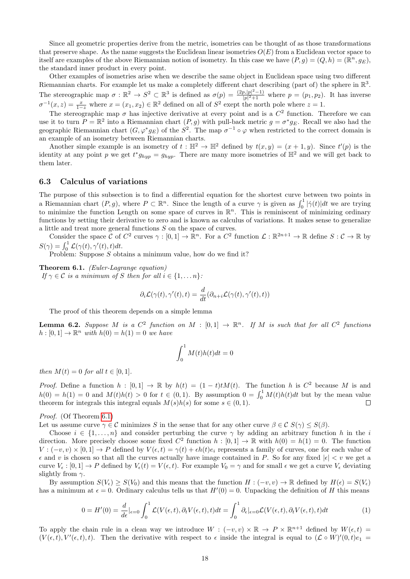Since all geometric properties derive from the metric, isometries can be thought of as those transformations that preserve shape. As the name suggests the Euclidean linear isometries  $O(E)$  from a Euclidean vector space to itself are examples of the above Riemannian notion of isometry. In this case we have  $(P, g) = (Q, h) = (\mathbb{R}^n, g_E)$ , the standard inner product in every point.

Other examples of isometries arise when we describe the same object in Euclidean space using two different Riemannian charts. For example let us make a completely different chart describing (part of) the sphere in  $\mathbb{R}^3$ . The stereographic map  $\sigma : \mathbb{R}^2 \to S^2 \subset \mathbb{R}^3$  is defined as  $\sigma(p) = \frac{(2p, |p|^2 - 1)}{|p|^2 + 1}$  $\frac{p_1|p_1-1}{|p_1|^2+1}$  where  $p=(p_1,p_2)$ . It has inverse  $\sigma^{-1}(x, z) = \frac{x}{1-z}$  where  $x = (x_1, x_2) \in \mathbb{R}^2$  defined on all of  $S^2$  exept the north pole where  $z = 1$ .

The stereographic map  $\sigma$  has injective derivative at every point and is a  $C^2$  function. Therefore we can use it to turn  $P = \mathbb{R}^2$  into a Riemannian chart  $(P, g)$  with pull-back metric  $g = \sigma^* g_E$ . Recall we also had the geographic Riemannian chart  $(G, \varphi^* g_E)$  of the  $S^2$ . The map  $\sigma^{-1} \circ \varphi$  when restricted to the correct domain is an example of an isometry between Riemannian charts.

Another simple example is an isometry of  $t : \mathbb{H}^2 \to \mathbb{H}^2$  defined by  $t(x, y) = (x + 1, y)$ . Since  $t'(p)$  is the identity at any point p we get  $t^*g_{hyp} = g_{hyp}$ . There are many more isometries of  $\mathbb{H}^2$  and we will get back to them later.

# 6.3 Calculus of variations

The purpose of this subsection is to find a differential equation for the shortest curve between two points in a Riemannian chart  $(P, g)$ , where  $P \subset \mathbb{R}^n$ . Since the length of a curve  $\gamma$  is given as  $\int_0^1 |\dot{\gamma}(t)| dt$  we are trying to minimize the function Length on some space of curves in  $\mathbb{R}^n$ . This is reminiscent of minimizing ordinary functions by setting their derivative to zero and is known as calculus of variations. It makes sense to generalize a little and treat more general functions S on the space of curves.

Consider the space C of  $C^2$  curves  $\gamma : [0,1] \to \mathbb{R}^n$ . For a  $C^2$  function  $\mathcal{L} : \mathbb{R}^{2n+1} \to \mathbb{R}$  define  $S : \mathcal{C} \to \mathbb{R}$  by  $S(\gamma) = \int_0^1 \mathcal{L}(\gamma(t), \gamma'(t), t) dt.$ 

Problem: Suppose S obtains a minimum value, how do we find it?

<span id="page-17-0"></span>Theorem 6.1. (Euler-Lagrange equation) If  $\gamma \in \mathcal{C}$  is a minimum of S then for all  $i \in \{1, \ldots n\}$ :

$$
\partial_i \mathcal{L}(\gamma(t), \gamma'(t), t) = \frac{d}{dt}(\partial_{n+i} \mathcal{L}(\gamma(t), \gamma'(t), t))
$$

The proof of this theorem depends on a simple lemma

<span id="page-17-2"></span>**Lemma 6.2.** Suppose M is a  $C^2$  function on  $M : [0,1] \to \mathbb{R}^n$ . If M is such that for all  $C^2$  functions  $h: [0,1] \to \mathbb{R}^n$  with  $h(0) = h(1) = 0$  we have

$$
\int_0^1 M(t)h(t)dt = 0
$$

then  $M(t) = 0$  for all  $t \in [0, 1]$ .

*Proof.* Define a function  $h : [0,1] \to \mathbb{R}$  by  $h(t) = (1-t)tM(t)$ . The function h is  $C^2$  because M is and  $h(0) = h(1) = 0$  and  $M(t)h(t) > 0$  for  $t \in (0,1)$ . By assumption  $0 = \int_0^1 M(t)h(t)dt$  but by the mean value theorem for integrals this integral equals  $M(s)h(s)$  for some  $s \in (0,1)$ .

Proof. (Of Theorem [6.1\)](#page-17-0)

Let us assume curve  $\gamma \in \mathcal{C}$  minimizes S in the sense that for any other curve  $\beta \in \mathcal{C}$  S( $\gamma$ )  $\leq S(\beta)$ .

Choose  $i \in \{1, \ldots, n\}$  and consider perturbing the curve  $\gamma$  by adding an arbitrary function h in the i direction. More precisely choose some fixed  $C^2$  function  $h : [0,1] \to \mathbb{R}$  with  $h(0) = h(1) = 0$ . The function  $V: (-v, v) \times [0, 1] \rightarrow P$  defined by  $V(\epsilon, t) = \gamma(t) + \epsilon h(t)e_i$  represents a family of curves, one for each value of  $\epsilon$  and v is chosen so that all the curves actually have image contained in P. So for any fixed  $|\epsilon| < v$  we get a curve  $V_{\epsilon}: [0,1] \to P$  defined by  $V_{\epsilon}(t) = V(\epsilon, t)$ . For example  $V_0 = \gamma$  and for small  $\epsilon$  we get a curve  $V_{\epsilon}$  deviating slightly from  $\gamma$ .

By assumption  $S(V_{\epsilon}) \geq S(V_0)$  and this means that the function  $H: (-v, v) \to \mathbb{R}$  defined by  $H(\epsilon) = S(V_{\epsilon})$ has a minimum at  $\epsilon = 0$ . Ordinary calculus tells us that  $H'(0) = 0$ . Unpacking the definition of H this means

<span id="page-17-1"></span>
$$
0 = H'(0) = \frac{d}{d\epsilon}|_{\epsilon=0} \int_0^1 \mathcal{L}(V(\epsilon, t), \partial_t V(\epsilon, t), t) dt = \int_0^1 \partial_{\epsilon}|_{\epsilon=0} \mathcal{L}(V(\epsilon, t), \partial_t V(\epsilon, t), t) dt \tag{1}
$$

To apply the chain rule in a clean way we introduce  $W : (-v, v) \times \mathbb{R} \to P \times \mathbb{R}^{n+1}$  defined by  $W(\epsilon, t) =$  $(V(\epsilon, t), V'(\epsilon, t), t)$ . Then the derivative with respect to  $\epsilon$  inside the integral is equal to  $(\mathcal{L} \circ W)'(0, t)e_1 =$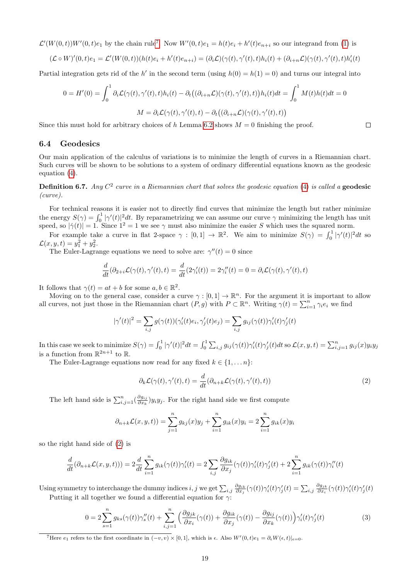$\mathcal{L}'(W(0,t))W'(0,t)e_1$  by the chain rule<sup>[7](#page-18-0)</sup>. Now  $W'(0,t)e_1 = h(t)e_i + h'(t)e_{n+i}$  so our integrand from [\(1\)](#page-17-1) is

$$
(\mathcal{L} \circ W)'(0,t)e_1 = \mathcal{L}'(W(0,t))(h(t)e_i + h'(t)e_{n+i}) = (\partial_i \mathcal{L})(\gamma(t), \gamma'(t), t)h_i(t) + (\partial_{i+n}\mathcal{L})(\gamma(t), \gamma'(t), t)h_i'(t)
$$

Partial integration gets rid of the h' in the second term (using  $h(0) = h(1) = 0$ ) and turns our integral into

$$
0 = H'(0) = \int_0^1 \partial_i \mathcal{L}(\gamma(t), \gamma'(t), t) h_i(t) - \partial_t \big( (\partial_{i+n} \mathcal{L})(\gamma(t), \gamma'(t), t) \big) h_i(t) dt = \int_0^1 M(t)h(t)dt = 0
$$

$$
M = \partial_i \mathcal{L}(\gamma(t), \gamma'(t), t) - \partial_t \big( (\partial_{i+n} \mathcal{L})(\gamma(t), \gamma'(t), t) \big)
$$

Since this must hold for arbitrary choices of h Lemma [6.2](#page-17-2) shows  $M = 0$  finishing the proof.

#### 6.4 Geodesics

Our main application of the calculus of variations is to minimize the length of curves in a Riemannian chart. Such curves will be shown to be solutions to a system of ordinary differential equations known as the geodesic equation [\(4\)](#page-19-0).

**Definition 6.7.** Any  $C^2$  curve in a Riemannian chart that solves the geodesic equation [\(4\)](#page-19-0) is called a geodesic (curve).

For technical reasons it is easier not to directly find curves that minimize the length but rather minimize the energy  $S(\gamma) = \int_0^1 |\gamma'(t)|^2 dt$ . By reparametrizing we can assume our curve  $\gamma$  minimizing the length has unit speed, so  $|\dot{\gamma}(t)| = 1$ . Since  $1^2 = 1$  we see  $\gamma$  must also minimize the easier S which uses the squared norm.

For example take a curve in flat 2-space  $\gamma : [0,1] \to \mathbb{R}^2$ . We aim to minimize  $S(\gamma) = \int_0^1 |\gamma'(t)|^2 dt$  so  $\mathcal{L}(x, y, t) = y_1^2 + y_2^2.$ 

The Euler-Lagrange equations we need to solve are:  $\gamma''(t) = 0$  since

$$
\frac{d}{dt}(\partial_{2+i}\mathcal{L}(\gamma(t),\gamma'(t),t)) = \frac{d}{dt}(2\gamma_i'(t)) = 2\gamma_i''(t) = 0 = \partial_i\mathcal{L}(\gamma(t),\gamma'(t),t)
$$

It follows that  $\gamma(t) = at + b$  for some  $a, b \in \mathbb{R}^2$ .

Moving on to the general case, consider a curve  $\gamma : [0,1] \to \mathbb{R}^n$ . For the argument it is important to allow all curves, not just those in the Riemannian chart  $(P, g)$  with  $P \subset \mathbb{R}^n$ . Writing  $\gamma(t) = \sum_{i=1}^n \gamma_i e_i$  we find

$$
|\gamma'(t)|^2 = \sum_{i,j} g(\gamma(t))(\gamma_i'(t)e_i, \gamma_j'(t)e_j) = \sum_{i,j} g_{ij}(\gamma(t))\gamma_i'(t)\gamma_j'(t)
$$

In this case we seek to minimize  $S(\gamma)=\int_0^1|\gamma'(t)|^2dt=\int_0^1\sum_{i,j}g_{ij}(\gamma(t))\gamma_i'(t)\gamma_j'(t)dt$  so  $\mathcal{L}(x,y,t)=\sum_{i,j=1}^ng_{ij}(x)y_iy_j$ is a function from  $\mathbb{R}^{2n+1}$  to  $\mathbb{R}$ .

The Euler-Lagrange equations now read for any fixed  $k \in \{1, \ldots n\}$ :

<span id="page-18-1"></span>
$$
\partial_k \mathcal{L}(\gamma(t), \gamma'(t), t) = \frac{d}{dt} (\partial_{n+k} \mathcal{L}(\gamma(t), \gamma'(t), t))
$$
\n(2)

The left hand side is  $\sum_{i,j=1}^n \left(\frac{\partial g_{ij}}{\partial x_k}\right)$  $\frac{\partial g_{ij}}{\partial x_k}$ ) $y_i y_j$ . For the right hand side we first compute

$$
\partial_{n+k}\mathcal{L}(x,y,t)) = \sum_{j=1}^n g_{kj}(x)y_j + \sum_{i=1}^n g_{ik}(x)y_i = 2\sum_{i=1}^n g_{ik}(x)y_i
$$

so the right hand side of [\(2\)](#page-18-1) is

$$
\frac{d}{dt}(\partial_{n+k}\mathcal{L}(x,y,t))) = 2\frac{d}{dt}\sum_{i=1}^n g_{ik}(\gamma(t))\gamma_i'(t) = 2\sum_{i,j}\frac{\partial g_{ik}}{\partial x_j}(\gamma(t))\gamma_i'(t)\gamma_j'(t) + 2\sum_{i=1}^n g_{ik}(\gamma(t))\gamma_i''(t)
$$

Using symmetry to interchange the dummy indices  $i, j$  we get  $\sum_{i,j} \frac{\partial g_{ik}}{\partial x_j} (\gamma(t)) \gamma'_i(t) \gamma'_j(t) = \sum_{i,j} \frac{\partial g_{jk}}{\partial x_i}$  $\frac{\partial g_{j k}}{\partial x_i}(\gamma(t))\gamma_i'(t)\gamma_j'(t)$ Putting it all together we found a differential equation for  $\gamma$ :

<span id="page-18-2"></span>
$$
0 = 2\sum_{s=1}^{n} g_{ks}(\gamma(t))\gamma_s''(t) + \sum_{i,j=1}^{n} \left(\frac{\partial g_{jk}}{\partial x_i}(\gamma(t)) + \frac{\partial g_{ik}}{\partial x_j}(\gamma(t)) - \frac{\partial g_{ij}}{\partial x_k}(\gamma(t))\right)\gamma_i'(t)\gamma_j'(t)
$$
(3)

<span id="page-18-0"></span>There  $e_1$  refers to the first coordinate in  $(-v, v) \times [0, 1]$ , which is  $\epsilon$ . Also  $W'(0, t)e_1 = \partial_{\epsilon}W(\epsilon, t)|_{\epsilon=0}$ .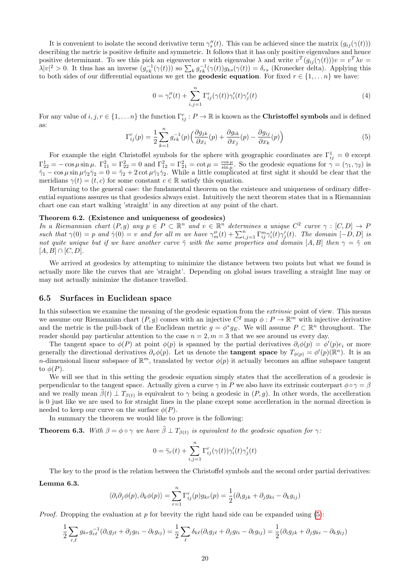It is convenient to isolate the second derivative term  $\gamma_s''(t)$ . This can be achieved since the matrix  $(g_{ij}(\gamma(t)))$ describing the metric is positive definite and symmetric. It follows that it has only positive eigenvalues and hence positive determinant. To see this pick an eigenvector v with eigenvalue  $\lambda$  and write  $v^T(g_{ij}(\gamma(t)))v = v^T \lambda v =$  $\lambda |v|^2 > 0$ . It thus has an inverse  $(g_{rk}^{-1}(\gamma(t)))$  so  $\sum_k g_{rk}^{-1}(\gamma(t))g_{ks}(\gamma(t)) = \delta_{rs}$  (Kronecker delta). Applying this to both sides of our differential equations we get the **geodesic equation**. For fixed  $r \in \{1, \ldots n\}$  we have:

<span id="page-19-0"></span>
$$
0 = \gamma_r''(t) + \sum_{i,j=1}^n \Gamma_{ij}^r(\gamma(t))\gamma_i'(t)\gamma_j'(t)
$$
\n
$$
\tag{4}
$$

For any value of  $i, j, r \in \{1, ..., n\}$  the function  $\Gamma_{ij}^r : P \to \mathbb{R}$  is known as the **Christoffel symbols** and is defined as:

<span id="page-19-1"></span>
$$
\Gamma_{ij}^r(p) = \frac{1}{2} \sum_{k=1}^n g_{rk}^{-1}(p) \left( \frac{\partial g_{jk}}{\partial x_i}(p) + \frac{\partial g_{ik}}{\partial x_j}(p) - \frac{\partial g_{ij}}{\partial x_k}(p) \right)
$$
(5)

For example the eight Christoffel symbols for the sphere with geographic coordinates are  $\Gamma_{ij}^1 = 0$  except  $\Gamma_{22}^1 = -\cos\mu\sin\mu$ .  $\Gamma_{11}^2 = \Gamma_{22}^2 = 0$  and  $\Gamma_{12}^2 = \Gamma_{21}^2 = \cot\mu = \frac{\cos\mu}{\sin\mu}$ . So the geodesic equations for  $\gamma = (\gamma_1, \gamma_2)$  is  $\ddot{\gamma}_1 - \cos \mu \sin \mu \dot{\gamma}_2 \dot{\gamma}_2 = 0 = \ddot{\gamma}_2 + 2 \cot \mu \dot{\gamma}_1 \dot{\gamma}_2$ . While a little complicated at first sight it should be clear that the meridians  $\gamma(t) = (t, c)$  for some constant  $c \in \mathbb{R}$  satisfy this equation.

Returning to the general case: the fundamental theorem on the existence and uniqueness of ordinary differential equations assures us that geodesics always exist. Intuitively the next theorem states that in a Riemannian chart one can start walking 'straight' in any direction at any point of the chart.

### Theorem 6.2. (Existence and uniqueness of geodesics)

In a Riemannian chart  $(P,g)$  any  $p \in P \subset \mathbb{R}^n$  and  $v \in \mathbb{R}^n$  determines a unique  $C^2$  curve  $\gamma : [C, D] \to P$ such that  $\gamma(0) = p$  and  $\dot{\gamma}(0) = v$  and for all m we have  $\gamma_m''(t) + \sum_{i,j=1}^n \Gamma_{ij}^m \gamma_i'(t) \gamma_j'(t)$ . The domain  $[-D, D]$  is not quite unique but if we have another curve  $\tilde{\gamma}$  with the same properties and domain [A, B] then  $\gamma = \tilde{\gamma}$  on  $[A, B] \cap [C, D].$ 

We arrived at geodesics by attempting to minimize the distance between two points but what we found is actually more like the curves that are 'straight'. Depending on global issues travelling a straight line may or may not actually minimize the distance travelled.

# 6.5 Surfaces in Euclidean space

In this subsection we examine the meaning of the geodesic equation from the *extrinsic* point of view. This means we assume our Riemannian chart  $(P, g)$  comes with an injective  $C^2$  map  $\phi: P \to \mathbb{R}^m$  with injective derivative and the metric is the pull-back of the Euclidean metric  $g = \phi^* g_E$ . We will assume  $P \subset \mathbb{R}^n$  throughout. The reader should pay particular attention to the case  $n = 2, m = 3$  that we see around us every day.

The tangent space to  $\phi(P)$  at point  $\phi(p)$  is spanned by the partial derivatives  $\partial_i \phi(p) = \phi'(p)e_i$  or more generally the directional derivatives  $\partial_v \phi(p)$ . Let us denote the **tangent space** by  $T_{\phi(p)} = \phi'(p)(\mathbb{R}^n)$ . It is an *n*-dimensional linear subspace of  $\mathbb{R}^m$ , translated by vector  $\phi(p)$  it actually becomes an affine subspace tangent to  $\phi(P)$ .

We will see that in this setting the geodesic equation simply states that the accelleration of a geodesic is perpendicular to the tangent space. Actually given a curve  $\gamma$  in P we also have its extrinsic couterpart  $\phi \circ \gamma = \beta$ and we really mean  $\ddot{\beta}(t) \perp T_{\beta(t)}$  is equivalent to  $\gamma$  being a geodesic in  $(P, g)$ . In other words, the accelleration is 0 just like we are used to for straight lines in the plane except some accelleration in the normal direction is needed to keep our curve on the surface  $\phi(P)$ .

In summary the theorem we would like to prove is the following:

**Theorem 6.3.** With  $\beta = \phi \circ \gamma$  we have  $\ddot{\beta} \perp T_{\beta(t)}$  is equivalent to the geodesic equation for  $\gamma$ .

$$
0 = \ddot{\gamma}_r(t) + \sum_{i,j=1}^n \Gamma^r_{ij}(\gamma(t)) \gamma'_i(t) \gamma'_j(t)
$$

<span id="page-19-2"></span>The key to the proof is the relation between the Christoffel symbols and the second order partial derivatives: Lemma 6.3.

$$
\langle \partial_i \partial_j \phi(p), \partial_k \phi(p) \rangle = \sum_{r=1}^n \Gamma_{ij}^r(p) g_{kr}(p) = \frac{1}{2} (\partial_i g_{jk} + \partial_j g_{ki} - \partial_k g_{ij})
$$

*Proof.* Dropping the evaluation at p for brevity the right hand side can be expanded using  $(5)$ :

$$
\frac{1}{2}\sum_{r,\ell}g_{kr}g_{r\ell}^{-1}(\partial_ig_{j\ell}+\partial_jg_{\ell i}-\partial_\ell g_{ij})=\frac{1}{2}\sum_{\ell}\delta_{k\ell}(\partial_ig_{j\ell}+\partial_jg_{\ell i}-\partial_\ell g_{ij})=\frac{1}{2}(\partial_ig_{jk}+\partial_jg_{ki}-\partial_k g_{ij})
$$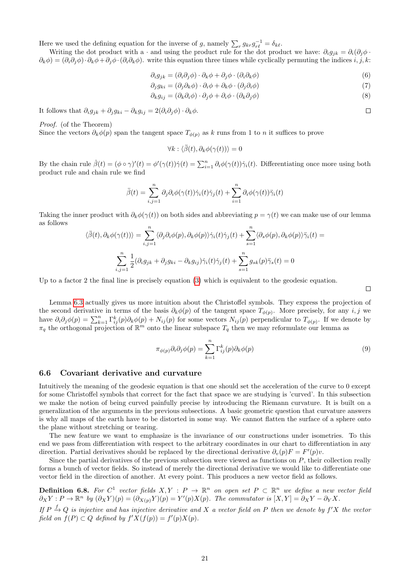Here we used the defining equation for the inverse of g, namely  $\sum_r g_{kr} g_{r\ell}^{-1} = \delta_{k\ell}$ .

Writing the dot product with a  $\cdot$  and using the product rule for the dot product we have:  $\partial_i g_{jk} = \partial_i(\partial_j \phi \cdot \partial_k g_{jk})$  $\partial_k \phi = (\partial_i \partial_j \phi) \cdot \partial_k \phi + \partial_j \phi \cdot (\partial_i \partial_k \phi)$ , write this equation three times while cyclically permuting the indices  $i, j, k$ :

$$
\partial_i g_{jk} = (\partial_i \partial_j \phi) \cdot \partial_k \phi + \partial_j \phi \cdot (\partial_i \partial_k \phi) \tag{6}
$$

$$
\partial_j g_{ki} = (\partial_j \partial_k \phi) \cdot \partial_i \phi + \partial_k \phi \cdot (\partial_j \partial_i \phi) \tag{7}
$$

$$
\partial_k g_{ij} = (\partial_k \partial_i \phi) \cdot \partial_j \phi + \partial_i \phi \cdot (\partial_k \partial_j \phi) \tag{8}
$$

It follows that  $\partial_i g_{jk} + \partial_j g_{ki} - \partial_k g_{ij} = 2(\partial_i \partial_j \phi) \cdot \partial_k \phi$ .

Proof. (of the Theorem)

Since the vectors  $\partial_k \phi(p)$  span the tangent space  $T_{\phi(p)}$  as k runs from 1 to n it suffices to prove

$$
\forall k : \langle \ddot{\beta}(t), \partial_k \phi(\gamma(t)) \rangle = 0
$$

By the chain rule  $\dot{\beta}(t) = (\phi \circ \gamma)'(t) = \phi'(\gamma(t))\dot{\gamma}(t) = \sum_{i=1}^{n} \partial_i \phi(\gamma(t))\dot{\gamma}_i(t)$ . Differentiating once more using both product rule and chain rule we find

$$
\ddot{\beta}(t) = \sum_{i,j=1}^{n} \partial_j \partial_i \phi(\gamma(t)) \dot{\gamma}_i(t) \dot{\gamma}_j(t) + \sum_{i=1}^{n} \partial_i \phi(\gamma(t)) \ddot{\gamma}_i(t)
$$

Taking the inner product with  $\partial_k \phi(\gamma(t))$  on both sides and abbreviating  $p = \gamma(t)$  we can make use of our lemma as follows

$$
\langle \ddot{\beta}(t), \partial_k \phi(\gamma(t)) \rangle = \sum_{i,j=1}^n \langle \partial_j \partial_i \phi(p), \partial_k \phi(p) \rangle \dot{\gamma}_i(t) \dot{\gamma}_j(t) + \sum_{s=1}^n \langle \partial_s \phi(p), \partial_k \phi(p) \rangle \ddot{\gamma}_i(t) =
$$
  

$$
\sum_{i,j=1}^n \frac{1}{2} (\partial_i g_{jk} + \partial_j g_{ki} - \partial_k g_{ij}) \dot{\gamma}_i(t) \dot{\gamma}_j(t) + \sum_{s=1}^n g_{sk}(p) \ddot{\gamma}_s(t) = 0
$$

Up to a factor 2 the final line is precisely equation [\(3\)](#page-18-2) which is equivalent to the geodesic equation.

Lemma [6.3](#page-19-2) actually gives us more intuition about the Christoffel symbols. They express the projection of the second derivative in terms of the basis  $\partial_k \phi(p)$  of the tangent space  $T_{\phi(p)}$ . More precisely, for any i, j we have  $\partial_i \partial_j \phi(p) = \sum_{k=1}^n \Gamma_{ij}^k(p) \partial_k \phi(p) + N_{ij}(p)$  for some vectors  $N_{ij}(p)$  perpendicular to  $T_{\phi(p)}$ . If we denote by  $\pi_q$  the orthogonal projection of  $\mathbb{R}^m$  onto the linear subspace  $T_q$  then we may reformulate our lemma as

<span id="page-20-1"></span>
$$
\pi_{\phi(p)} \partial_i \partial_j \phi(p) = \sum_{k=1}^n \Gamma_{ij}^k(p) \partial_k \phi(p)
$$
\n(9)

# 6.6 Covariant derivative and curvature

Intuitively the meaning of the geodesic equation is that one should set the acceleration of the curve to 0 except for some Christoffel symbols that correct for the fact that space we are studying is 'curved'. In this subsection we make the notion of being curved painfully precise by introducing the Riemann curvature. It is built on a generalization of the arguments in the previous subsections. A basic geometric question that curvature answers is why all maps of the earth have to be distorted in some way. We cannot flatten the surface of a sphere onto the plane without stretching or tearing.

The new feature we want to emphasize is the invariance of our constructions under isometries. To this end we pass from differentiation with respect to the arbitrary coordinates in our chart to differentiation in any direction. Partial derivatives should be replaced by the directional derivative  $\partial_v(p)F = F'(p)v$ .

Since the partial derivatives of the previous subsection were viewed as functions on P, their collection really forms a bunch of vector fields. So instead of merely the directional derivative we would like to differentiate one vector field in the direction of another. At every point. This produces a new vector field as follows.

<span id="page-20-0"></span>**Definition 6.8.** For  $C^1$  vector fields  $X, Y : P \to \mathbb{R}^n$  on open set  $P \subset \mathbb{R}^n$  we define a new vector field  $\partial_X Y : P \to \mathbb{R}^n$  by  $(\partial_X Y)(p) = (\partial_{X(p)} Y)(p) = Y'(p)X(p)$ . The commutator is  $[X, Y] = \partial_X Y - \partial_Y X$ .

If  $P \stackrel{f}{\rightarrow} Q$  is injective and has injective derivative and X a vector field on P then we denote by  $f'X$  the vector field on  $f(P) \subset Q$  defined by  $f'X(f(p)) = f'(p)X(p)$ .

 $\Box$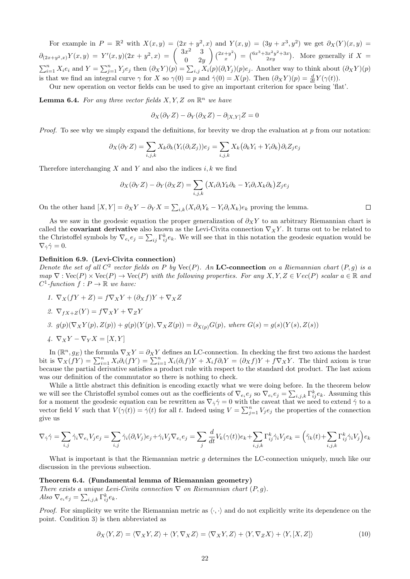For example in  $P = \mathbb{R}^2$  with  $X(x, y) = (2x + y^2, x)$  and  $Y(x, y) = (3y + x^3, y^2)$  we get  $\partial_X(Y)(x, y) =$  $\partial_{(2x+y^2,x)}Y(x,y) = Y'(x,y)(2x+y^2,x) = \begin{pmatrix} 3x^2 & 3 \\ 0 & 2x \end{pmatrix}$  $0 \quad 2y$  $\bigg(2x+y^2\bigg)$  $(x^{3} + y^{2}) = \begin{pmatrix} 6x^{3} + 3x^{2}y^{2} + 3x \\ 2xy \end{pmatrix}$ . More generally if  $X =$  $\sum_{i=1}^n X_i e_i$  and  $Y = \sum_{j=1}^n Y_j e_j$  then  $(\partial_X Y)(p) = \sum_{i,j} X_i(p) (\partial_i Y_j)(p) e_j$ . Another way to think about  $(\partial_X Y)(p)$ is that we find an integral curve  $\gamma$  for X so  $\gamma(0) = p$  and  $\dot{\gamma}(0) = X(p)$ . Then  $(\partial_X Y)(p) = \frac{d}{dt}Y(\gamma(t))$ .

Our new operation on vector fields can be used to give an important criterion for space being 'flat'.

<span id="page-21-1"></span>**Lemma 6.4.** For any three vector fields  $X, Y, Z$  on  $\mathbb{R}^n$  we have

$$
\partial_X(\partial_Y Z) - \partial_Y(\partial_X Z) - \partial_{[X,Y]} Z = 0
$$

*Proof.* To see why we simply expand the definitions, for brevity we drop the evaluation at  $p$  from our notation:

$$
\partial_X(\partial_Y Z) = \sum_{i,j,k} X_k \partial_k (Y_i(\partial_i Z_j)) e_j = \sum_{i,j,k} X_k (\partial_k Y_i + Y_i \partial_k) \partial_i Z_j e_j
$$

Therefore interchanging  $X$  and  $Y$  and also the indices  $i, k$  we find

$$
\partial_X(\partial_Y Z) - \partial_Y(\partial_X Z) = \sum_{i,j,k} \left( X_i \partial_i Y_k \partial_k - Y_i \partial_i X_k \partial_k \right) Z_j e_j
$$

 $\Box$ 

On the other hand  $[X, Y] = \partial_X Y - \partial_Y X = \sum_{i,k} (X_i \partial_i Y_k - Y_i \partial_i X_k)e_k$  proving the lemma.

As we saw in the geodesic equation the proper generalization of  $\partial_X Y$  to an arbitrary Riemannian chart is called the **covariant derivative** also known as the Levi-Civita connection  $\nabla_X Y$ . It turns out to be related to the Christoffel symbols by  $\nabla_{e_i} e_j = \sum_{ij} \Gamma_{ij}^k e_k$ . We will see that in this notation the geodesic equation would be  $\nabla_{\dot{\gamma}}\dot{\gamma}=0.$ 

# Definition 6.9. (Levi-Civita connection)

Denote the set of all  $C^2$  vector fields on P by Vec(P). An **LC-connection** on a Riemannian chart  $(P, g)$  is a  $map \nabla : \text{Vec}(P) \times \text{Vec}(P) \rightarrow \text{Vec}(P)$  with the following properties. For any  $X, Y, Z \in \text{Vec}(P)$  scalar  $a \in \mathbb{R}$  and  $C^1$ -function  $f: P \to \mathbb{R}$  we have:

1.  $\nabla_X(fY + Z) = f\nabla_X Y + (\partial_X f)Y + \nabla_X Z$ 2.  $\nabla_{fX+Z}(Y) = f\nabla_X Y + \nabla_Z Y$ 3.  $g(p)(\nabla_X Y(p), Z(p)) + g(p)(Y(p), \nabla_X Z(p)) = \partial_{X(p)} G(p)$ , where  $G(s) = g(s)(Y(s), Z(s))$ 4.  $\nabla_X Y - \nabla_Y X = [X, Y]$ 

In  $(\mathbb{R}^n, g_E)$  the formula  $\nabla_X Y = \partial_X Y$  defines an LC-connection. In checking the first two axioms the hardest bit is  $\nabla_X(fY) = \sum_{i=1}^n X_i \partial_i(fY) = \sum_{i=1}^n X_i(\partial_i f)Y + X_i f \partial_i Y = (\partial_X f)Y + f \nabla_X Y$ . The third axiom is true because the partial derivative satisfies a product rule with respect to the standard dot product. The last axiom was our definition of the commutator so there is nothing to check.

While a little abstract this definition is encoding exactly what we were doing before. In the theorem below we will see the Christoffel symbol comes out as the coefficients of  $\nabla_{e_i} e_j$  so  $\nabla_{e_i} e_j = \sum_{i,j,k} \Gamma_{ij}^k e_k$ . Assuming this for a moment the geodesic equation can be rewritten as  $\nabla_{\dot{\gamma}}\dot{\gamma}=0$  with the caveat that we need to extend  $\dot{\gamma}$  to a vector field V such that  $V(\gamma(t)) = \dot{\gamma}(t)$  for all t. Indeed using  $V = \sum_{j=1}^{n} V_j e_j$  the properties of the connection give us

$$
\nabla_{\dot{\gamma}} \dot{\gamma} = \sum_{i,j} \dot{\gamma}_i \nabla_{e_i} V_j e_j = \sum_{i,j} \dot{\gamma}_i (\partial_i V_j) e_j + \dot{\gamma}_i V_j \nabla_{e_i} e_j = \sum_j \frac{d}{dt} V_k(\gamma(t)) e_k + \sum_{i,j,k} \Gamma^k_{ij} \dot{\gamma}_i V_j e_k = \left( \ddot{\gamma}_k(t) + \sum_{i,j,k} \Gamma^k_{ij} \dot{\gamma}_i V_j \right) e_k
$$

What is important is that the Riemannian metric g determines the LC-connection uniquely, much like our discussion in the previous subsection.

#### Theorem 6.4. (Fundamental lemma of Riemannian geometry)

There exists a unique Levi-Civita connection  $\nabla$  on Riemannian chart  $(P, q)$ . Also  $\nabla_{e_i} e_j = \sum_{i,j,k} \Gamma_{ij}^k e_k$ .

*Proof.* For simplicity we write the Riemannian metric as  $\langle \cdot, \cdot \rangle$  and do not explicitly write its dependence on the point. Condition 3) is then abbreviated as

<span id="page-21-0"></span>
$$
\partial_X \langle Y, Z \rangle = \langle \nabla_X Y, Z \rangle + \langle Y, \nabla_X Z \rangle = \langle \nabla_X Y, Z \rangle + \langle Y, \nabla_Z X \rangle + \langle Y, [X, Z] \rangle \tag{10}
$$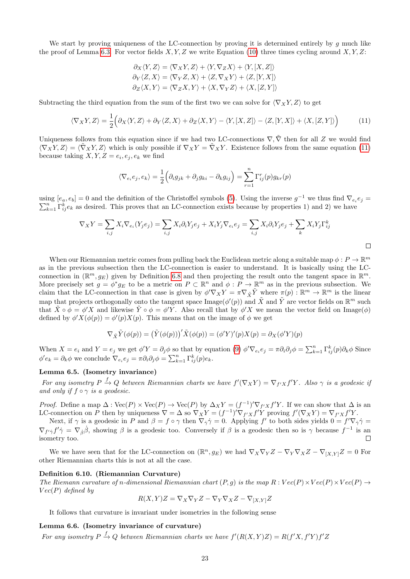We start by proving uniqueness of the LC-connection by proving it is determined entirely by  $g$  much like the proof of Lemma [6.3.](#page-19-2) For vector fields  $X, Y, Z$  we write Equation [\(10\)](#page-21-0) three times cycling around  $X, Y, Z$ :

$$
\partial_X \langle Y, Z \rangle = \langle \nabla_X Y, Z \rangle + \langle Y, \nabla_Z X \rangle + \langle Y, [X, Z] \rangle
$$
  
\n
$$
\partial_Y \langle Z, X \rangle = \langle \nabla_Y Z, X \rangle + \langle Z, \nabla_X Y \rangle + \langle Z, [Y, X] \rangle
$$
  
\n
$$
\partial_Z \langle X, Y \rangle = \langle \nabla_Z X, Y \rangle + \langle X, \nabla_Y Z \rangle + \langle X, [Z, Y] \rangle
$$

Subtracting the third equation from the sum of the first two we can solve for  $\langle \nabla_X Y, Z \rangle$  to get

<span id="page-22-0"></span>
$$
\langle \nabla_X Y, Z \rangle = \frac{1}{2} \Big( \partial_X \langle Y, Z \rangle + \partial_Y \langle Z, X \rangle + \partial_Z \langle X, Y \rangle - \langle Y, [X, Z] \rangle - \langle Z, [Y, X] \rangle + \langle X, [Z, Y] \rangle \Big) \tag{11}
$$

Uniqueness follows from this equation since if we had two LC-connections  $\nabla, \tilde{\nabla}$  then for all Z we would find  $\langle \nabla_X Y, Z \rangle = \langle \tilde{\nabla}_X Y, Z \rangle$  which is only possible if  $\nabla_X Y = \tilde{\nabla}_X Y$ . Existence follows from the same equation [\(11\)](#page-22-0) because taking  $X, Y, Z = e_i, e_j, e_k$  we find

$$
\langle \nabla_{e_i} e_j, e_k \rangle = \frac{1}{2} \Big( \partial_i g_{jk} + \partial_j g_{ki} - \partial_k g_{ij} \Big) = \sum_{r=1}^n \Gamma_{ij}^r(p) g_{kr}(p)
$$

using  $[e_a, e_b] = 0$  and the definition of the Christoffel symbols [\(5\)](#page-19-1). Using the inverse  $g^{-1}$  we thus find  $\nabla_{e_i} e_j =$  $\sum_{k=1}^{n} \Gamma_{ij}^{k} e_{k}$  as desired. This proves that an LC-connection exists because by properties 1) and 2) we have

$$
\nabla_X Y = \sum_{i,j} X_i \nabla_{e_i} (Y_j e_j) = \sum_{i,j} X_i \partial_i Y_j e_j + X_i Y_j \nabla_{e_i} e_j = \sum_{i,j} X_i \partial_i Y_j e_j + \sum_k X_i Y_j \Gamma_{ij}^k
$$

When our Riemannian metric comes from pulling back the Euclidean metric along a suitable map  $\phi: P \to \mathbb{R}^m$ as in the previous subsection then the LC-connection is easier to understand. It is basically using the LCconnection in  $(\mathbb{R}^m, g_E)$  given by Definition [6.8](#page-20-0) and then projecting the result onto the tangent space in  $\mathbb{R}^m$ . More precisely set  $g = \phi^* g_E$  to be a metric on  $P \subset \mathbb{R}^n$  and  $\phi : P \to \mathbb{R}^m$  as in the previous subsection. We claim that the LC-connection in that case is given by  $\phi' \nabla_X Y = \pi \nabla_{\tilde{X}} \tilde{Y}$  where  $\pi(p) : \mathbb{R}^m \to \mathbb{R}^m$  is the linear map that projects orthogonally onto the tangent space Image( $\phi'(p)$ ) and  $\tilde{X}$  and  $\tilde{Y}$  are vector fields on  $\mathbb{R}^m$  such that  $\tilde{X} \circ \phi = \phi' X$  and likewise  $\tilde{Y} \circ \phi = \phi' Y$ . Also recall that by  $\phi' X$  we mean the vector field on Image( $\phi$ ) defined by  $\phi'X(\phi(p)) = \phi'(p)X(p)$ . This means that on the image of  $\phi$  we get

$$
\nabla_{\tilde{X}} \tilde{Y}(\phi(p)) = (\tilde{Y}(\phi(p)))' \tilde{X}(\phi(p)) = (\phi'Y)'(p)X(p) = \partial_X(\phi'Y)(p)
$$

When  $X = e_i$  and  $Y = e_j$  we get  $\phi' Y = \partial_j \phi$  so that by equation [\(9\)](#page-20-1)  $\phi' \nabla_{e_i} e_j = \pi \partial_i \partial_j \phi = \sum_{k=1}^n \Gamma_{ij}^k(p) \partial_k \phi$  Since  $\phi' e_k = \partial_k \phi$  we conclude  $\nabla_{e_i} e_j = \pi \partial_i \partial_j \phi = \sum_{k=1}^n \Gamma_{ij}^k(p) e_k$ .

# <span id="page-22-1"></span>Lemma 6.5. (Isometry invariance)

For any isometry  $P \stackrel{f}{\to} Q$  between Riemannian charts we have  $f'(\nabla_X Y) = \nabla_{f'X} f'Y$ . Also  $\gamma$  is a geodesic if and only if  $f \circ \gamma$  is a geodesic.

*Proof.* Define a map  $\Delta : \text{Vec}(P) \times \text{Vec}(P) \to \text{Vec}(P)$  by  $\Delta_X Y = (f^{-1})' \nabla_{f'X} f'Y$ . If we can show that  $\Delta$  is an LC-connection on P then by uniqueness  $\nabla = \Delta$  so  $\nabla_X Y = (f^{-1})' \nabla_{f'X} f'Y$  proving  $f'(\nabla_X Y) = \nabla_{f'X} f'Y$ .

Next, if  $\gamma$  is a geodesic in P and  $\beta = f \circ \gamma$  then  $\nabla_{\dot{\gamma}} \dot{\gamma} = 0$ . Applying f' to both sides yields  $0 = f' \nabla_{\dot{\gamma}} \dot{\gamma} = 0$ .  $\nabla_{f'\dot{\gamma}}f'\dot{\gamma} = \nabla_{\dot{\beta}}\dot{\beta}$ , showing  $\beta$  is a geodesic too. Conversely if  $\beta$  is a geodesic then so is  $\gamma$  because  $f^{-1}$  is an isometry too.

We we have seen that for the LC-connection on  $(\mathbb{R}^n, g_E)$  we had  $\nabla_X \nabla_Y Z - \nabla_Y \nabla_X Z - \nabla_{[X,Y]} Z = 0$  For other Riemannian charts this is not at all the case.

#### Definition 6.10. (Riemannian Curvature)

The Riemann curvature of n-dimensional Riemannian chart  $(P, g)$  is the map  $R : Vec(P) \times Vec(P) \rightarrow$  $Vec(P)$  defined by

 $R(X,Y)Z = \nabla_X \nabla_Y Z - \nabla_Y \nabla_X Z - \nabla_{[X,Y]} Z$ 

It follows that curvature is invariant under isometries in the following sense

# <span id="page-22-2"></span>Lemma 6.6. (Isometry invariance of curvature)

For any isometry  $P \xrightarrow{f} Q$  between Riemannian charts we have  $f'(R(X,Y)Z) = R(f'X, f'Y)f'Z$